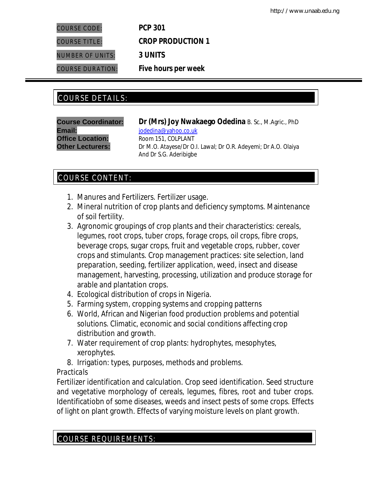COURSE CODE: *PCP 301*

COURSE TITLE: *CROP PRODUCTION 1* NUMBER OF UNITS: *3 UNITS* COURSE DURATION: *Five hours per week*

# COURSE DETAILS: COURSE DETAILS:

**Email:** indedina@yahoo.co.uk **Office Location:** Room 151, COLPLANT

**Course Coordinator: Dr (Mrs) Joy Nwakaego Odedina** B. Sc., M.Agric., PhD **Other Lecturers:** Dr M.O. Atayese/Dr O.I. Lawal; Dr O.R. Adeyemi; Dr A.O. Olaiya And Dr S.G. Aderibigbe

# COURSE CONTENT:

- 1. Manures and Fertilizers. Fertilizer usage.
- 2. Mineral nutrition of crop plants and deficiency symptoms. Maintenance of soil fertility.
- 3. Agronomic groupings of crop plants and their characteristics: cereals, legumes, root crops, tuber crops, forage crops, oil crops, fibre crops, beverage crops, sugar crops, fruit and vegetable crops, rubber, cover crops and stimulants. Crop management practices: site selection, land preparation, seeding, fertilizer application, weed, insect and disease management, harvesting, processing, utilization and produce storage for arable and plantation crops.
- 4. Ecological distribution of crops in Nigeria.
- 5. Farming system, cropping systems and cropping patterns
- 6. World, African and Nigerian food production problems and potential solutions. Climatic, economic and social conditions affecting crop distribution and growth.
- 7. Water requirement of crop plants: hydrophytes, mesophytes, xerophytes.
- 8. Irrigation: types, purposes, methods and problems.

## *Practicals*

Fertilizer identification and calculation. Crop seed identification. Seed structure and vegetative morphology of cereals, legumes, fibres, root and tuber crops. Identificatiobn of some diseases, weeds and insect pests of some crops. Effects of light on plant growth. Effects of varying moisture levels on plant growth.

# COURSE REQUIREMENTS: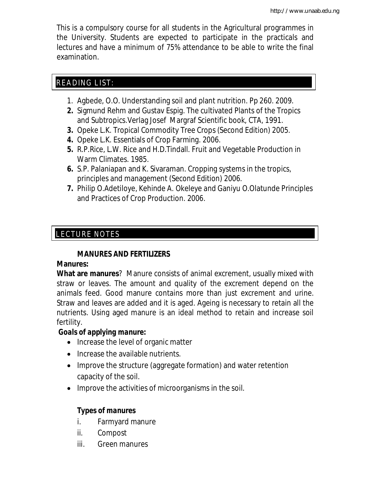This is a compulsory course for all students in the Agricultural programmes in the University. Students are expected to participate in the practicals and lectures and have a minimum of 75% attendance to be able to write the final examination.

# READING LIST:

- 1. Agbede, O.O. Understanding soil and plant nutrition. Pp 260. 2009.
- **2.** Sigmund Rehm and Gustav Espig. The cultivated Plants of the Tropics and Subtropics.Verlag Josef Margraf Scientific book, CTA, 1991.
- **3.** Opeke L.K. Tropical Commodity Tree Crops (Second Edition) 2005.
- **4.** Opeke L.K. Essentials of Crop Farming. 2006.
- **5.** R.P.Rice, L.W. Rice and H.D.Tindall. Fruit and Vegetable Production in Warm Climates. 1985.
- **6.** S.P. Palaniapan and K. Sivaraman. Cropping systems in the tropics, principles and management (Second Edition) 2006.
- **7.** Philip O.Adetiloye, Kehinde A. Okeleye and Ganiyu O.Olatunde Principles and Practices of Crop Production. 2006.

### E LECTURE NOTES

# **MANURES AND FERTILIZERS**

# **Manures:**

**What are manures**? Manure consists of animal excrement, usually mixed with straw or leaves. The amount and quality of the excrement depend on the animals feed. Good manure contains more than just excrement and urine. Straw and leaves are added and it is aged. Ageing is necessary to retain all the nutrients. Using aged manure is an ideal method to retain and increase soil fertility.

# *Goals of applying manure:*

- Increase the level of organic matter
- Increase the available nutrients.
- Improve the structure (aggregate formation) and water retention capacity of the soil.
- Improve the activities of microorganisms in the soil.

# *Types of manures*

- i. Farmyard manure
- ii. Compost
- iii. Green manures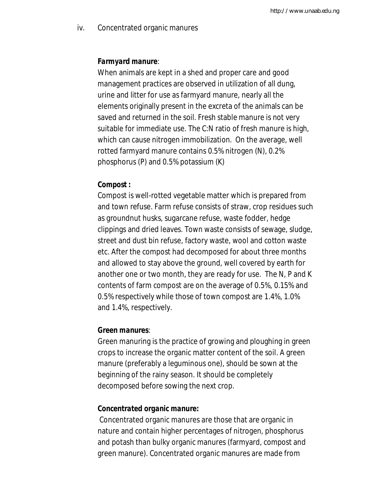iv. Concentrated organic manures

### *Farmyard manure*:

When animals are kept in a shed and proper care and good management practices are observed in utilization of all dung, urine and litter for use as farmyard manure, nearly all the elements originally present in the excreta of the animals can be saved and returned in the soil. Fresh stable manure is not very suitable for immediate use. The C:N ratio of fresh manure is high, which can cause nitrogen immobilization. On the average, well rotted farmyard manure contains 0.5% nitrogen (N), 0.2% phosphorus (P) and 0.5% potassium (K)

### *Compost :*

Compost is well-rotted vegetable matter which is prepared from and town refuse. Farm refuse consists of straw, crop residues such as groundnut husks, sugarcane refuse, waste fodder, hedge clippings and dried leaves. Town waste consists of sewage, sludge, street and dust bin refuse, factory waste, wool and cotton waste etc. After the compost had decomposed for about three months and allowed to stay above the ground, well covered by earth for another one or two month, they are ready for use. The N, P and K contents of farm compost are on the average of 0.5%, 0.15% and 0.5% respectively while those of town compost are 1.4%, 1.0% and 1.4%, respectively.

### *Green manures*:

Green manuring is the practice of growing and ploughing in green crops to increase the organic matter content of the soil. A green manure (preferably a leguminous one), should be sown at the beginning of the rainy season. It should be completely decomposed before sowing the next crop.

### *Concentrated organic manure:*

Concentrated organic manures are those that are organic in nature and contain higher percentages of nitrogen, phosphorus and potash than bulky organic manures (farmyard, compost and green manure). Concentrated organic manures are made from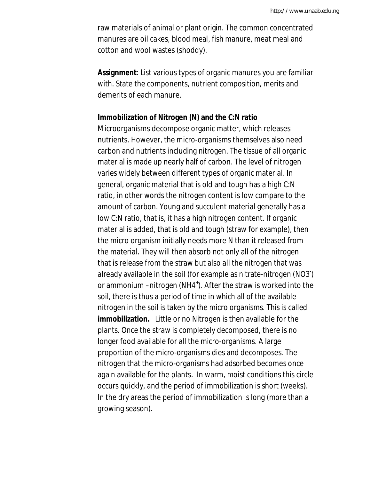raw materials of animal or plant origin. The common concentrated manures are oil cakes, blood meal, fish manure, meat meal and cotton and wool wastes (shoddy).

**Assignment**: List various types of organic manures you are familiar with. State the components, nutrient composition, merits and demerits of each manure.

### **Immobilization of Nitrogen (N) and the C:N ratio**

Microorganisms decompose organic matter, which releases nutrients. However, the micro-organisms themselves also need carbon and nutrients including nitrogen. The tissue of all organic material is made up nearly half of carbon. The level of nitrogen varies widely between different types of organic material. In general, organic material that is old and tough has a high C:N ratio, in other words the nitrogen content is low compare to the amount of carbon. Young and succulent material generally has a low C:N ratio, that is, it has a high nitrogen content. If organic material is added, that is old and tough (straw for example), then the micro organism initially needs more N than it released from the material. They will then absorb not only all of the nitrogen that is release from the straw but also all the nitrogen that was already available in the soil (for example as nitrate-nitrogen (NO3- ) or ammonium -nitrogen (NH4<sup>+</sup>). After the straw is worked into the soil, there is thus a period of time in which all of the available nitrogen in the soil is taken by the micro organisms. This is called **immobilization.** Little or no Nitrogen is then available for the plants. Once the straw is completely decomposed, there is no longer food available for all the micro-organisms. A large proportion of the micro-organisms dies and decomposes. The nitrogen that the micro-organisms had adsorbed becomes once again available for the plants. In warm, moist conditions this circle occurs quickly, and the period of immobilization is short (weeks). In the dry areas the period of immobilization is long (more than a growing season).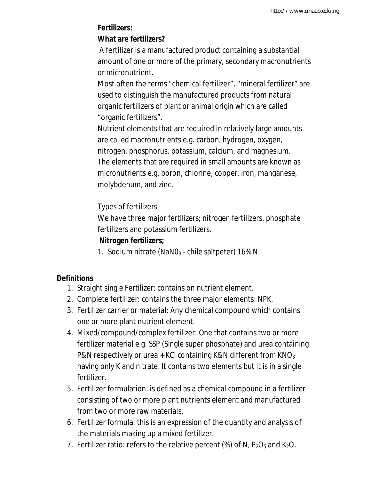# **Fertilizers:**

# **What are fertilizers?**

A fertilizer is a manufactured product containing a substantial amount of one or more of the primary, secondary macronutrients or micronutrient.

Most often the terms "chemical fertilizer", "mineral fertilizer" are used to distinguish the manufactured products from natural organic fertilizers of plant or animal origin which are called "organic fertilizers".

Nutrient elements that are required in relatively large amounts are called macronutrients e.g. carbon, hydrogen, oxygen, nitrogen, phosphorus, potassium, calcium, and magnesium. The elements that are required in small amounts are known as micronutrients e.g. boron, chlorine, copper, iron, manganese, molybdenum, and zinc.

# Types of fertilizers

We have three major fertilizers; nitrogen fertilizers, phosphate fertilizers and potassium fertilizers.

## **Nitrogen fertilizers;**

1. Sodium nitrate (NaNO<sub>3</sub> - chile saltpeter) 16% N.

# **Definitions**

- 1. Straight single Fertilizer: contains on nutrient element.
- 2. Complete fertilizer: contains the three major elements: NPK.
- 3. Fertilizer carrier or material: Any chemical compound which contains one or more plant nutrient element.
- 4. Mixed/compound/complex fertilizer: One that contains two or more fertilizer material e.g. SSP (Single super phosphate) and urea containing P&N respectively or urea + KCI containing K&N different from  $KNO<sub>3</sub>$ having only K and nitrate. It contains two elements but it is in a single fertilizer.
- 5. Fertilizer formulation: is defined as a chemical compound in a fertilizer consisting of two or more plant nutrients element and manufactured from two or more raw materials.
- 6. Fertilizer formula: this is an expression of the quantity and analysis of the materials making up a mixed fertilizer.
- 7. Fertilizer ratio: refers to the relative percent (%) of N,  $P_2O_5$  and K<sub>2</sub>O.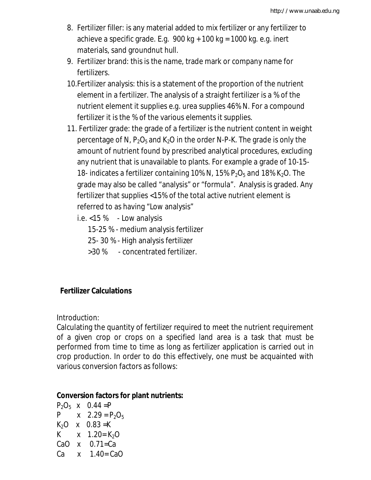- 8. Fertilizer filler: is any material added to mix fertilizer or any fertilizer to achieve a specific grade. E.g.  $900 \text{ kg} + 100 \text{ kg} = 1000 \text{ kg}$ . e.g. inert materials, sand groundnut hull.
- 9. Fertilizer brand: this is the name, trade mark or company name for fertilizers.
- 10.Fertilizer analysis: this is a statement of the proportion of the nutrient element in a fertilizer. The analysis of a straight fertilizer is a % of the nutrient element it supplies e.g. urea supplies 46% N. For a compound fertilizer it is the % of the various elements it supplies.
- 11. Fertilizer grade: the grade of a fertilizer is the nutrient content in weight percentage of N,  $P_2O_5$  and K<sub>2</sub>O in the order N-P-K. The grade is only the amount of nutrient found by prescribed analytical procedures, excluding any nutrient that is unavailable to plants. For example a grade of 10-15- 18- indicates a fertilizer containing 10% N, 15%  $P_2O_5$  and 18% K<sub>2</sub>O. The grade may also be called "analysis" or "formula". Analysis is graded. Any fertilizer that supplies <15% of the total active nutrient element is referred to as having "Low analysis"

i.e. <15 % - Low analysis

15-25 % - medium analysis fertilizer

- 25- 30 % High analysis fertilizer
- >30 % concentrated fertilizer.

# **Fertilizer Calculations**

Introduction:

Calculating the quantity of fertilizer required to meet the nutrient requirement of a given crop or crops on a specified land area is a task that must be performed from time to time as long as fertilizer application is carried out in crop production. In order to do this effectively, one must be acquainted with various conversion factors as follows:

## **Conversion factors for plant nutrients:**

 $P_2O_5$  x 0.44 = P P  $x = 2.29 = P_2O_5$  $K_2O$  x 0.83 = K K  $x = 1.20 = K_2O$ CaO  $x = 0.71$ =Ca Ca  $x = 1.40 = CaO$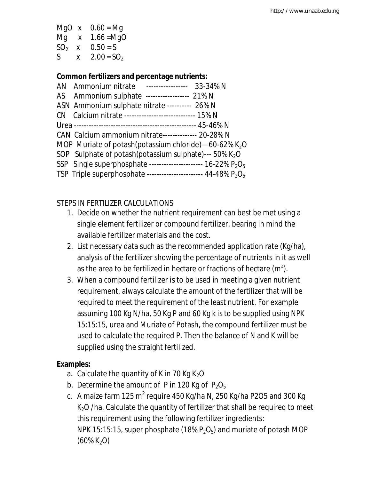MgO  $x = 0.60 = Mg$ Mg x 1.66 =MgO  $SO_2$  x  $0.50 = S$ S  $x = 2.00 = SO_2$ 

## **Common fertilizers and percentage nutrients:**

| AN Ammonium nitrate ----------------- 33-34% N                    |
|-------------------------------------------------------------------|
| AS Ammonium sulphate ----------------- 21% N                      |
| ASN Ammonium sulphate nitrate --------- 26% N                     |
| CN Calcium nitrate ----------------------------- 15% N            |
|                                                                   |
| CAN Calcium ammonium nitrate------------- 20-28% N                |
| MOP Muriate of potash(potassium chloride)—60-62% K <sub>2</sub> O |
| SOP Sulphate of potash(potassium sulphate)--- 50% $K_2O$          |
| SSP Single superphosphate ---------------------- 16-22% $P_2O_5$  |
| TSP Triple superphosphate ---------------------- 44-48% $P_2O_5$  |
|                                                                   |

## STEPS IN FERTILIZER CALCULATIONS

- 1. Decide on whether the nutrient requirement can best be met using a single element fertilizer or compound fertilizer, bearing in mind the available fertilizer materials and the cost.
- 2. List necessary data such as the recommended application rate (Kg/ha), analysis of the fertilizer showing the percentage of nutrients in it as well as the area to be fertilized in hectare or fractions of hectare (m<sup>2</sup>).
- 3. When a compound fertilizer is to be used in meeting a given nutrient requirement, always calculate the amount of the fertilizer that will be required to meet the requirement of the least nutrient. For example assuming 100 Kg N/ha, 50 Kg P and 60 Kg k is to be supplied using NPK 15:15:15, urea and Muriate of Potash, the compound fertilizer must be used to calculate the required P. Then the balance of N and K will be supplied using the straight fertilized.

## **Examples:**

- a. Calculate the quantity of K in 70 Kg  $K<sub>2</sub>O$
- b. Determine the amount of P in 120 Kg of  $P_2O_5$
- c.  $\,$  A maize farm 125 m $^{2}$  require 450 Kg/ha N, 250 Kg/ha P2O5 and 300 Kg  $K<sub>2</sub>O$  /ha. Calculate the quantity of fertilizer that shall be required to meet this requirement using the following fertilizer ingredients: NPK 15:15:15, super phosphate (18%  $P_2O_5$ ) and muriate of potash MOP  $(60\%~K<sub>2</sub>O)$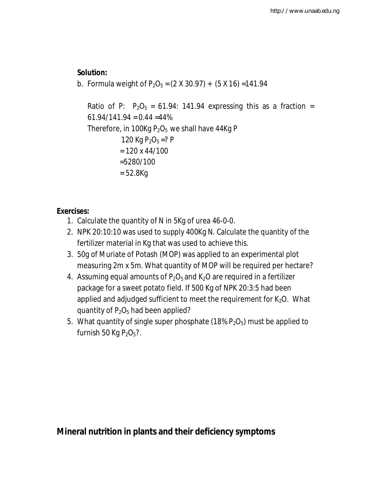## **Solution:**

b. Formula weight of  $P_2O_5 = (2 \times 30.97) + (5 \times 16) = 141.94$ 

Ratio of P:  $P_2O_5 = 61.94$ : 141.94 expressing this as a fraction =  $61.94/141.94 = 0.44 = 44\%$ Therefore, in 100Kg  $P_2O_5$  we shall have 44Kg P 120 Kg  $P_2O_5 = ? P$  $= 120 \times 44/100$  =5280/100  $= 52.8Kq$ 

# **Exercises:**

- 1. Calculate the quantity of N in 5Kg of urea 46-0-0.
- 2. NPK 20:10:10 was used to supply 400Kg N. Calculate the quantity of the fertilizer material in Kg that was used to achieve this.
- 3. 50g of Muriate of Potash (MOP) was applied to an experimental plot measuring 2m x 5m. What quantity of MOP will be required per hectare?
- 4. Assuming equal amounts of  $P_2O_5$  and  $K_2O$  are required in a fertilizer package for a sweet potato field. If 500 Kg of NPK 20:3:5 had been applied and adjudged sufficient to meet the requirement for  $K_2O$ . What quantity of  $P_2O_5$  had been applied?
- 5. What quantity of single super phosphate (18%  $P_2O_5$ ) must be applied to furnish 50 Kg  $P_2O_5$ ?.

**Mineral nutrition in plants and their deficiency symptoms**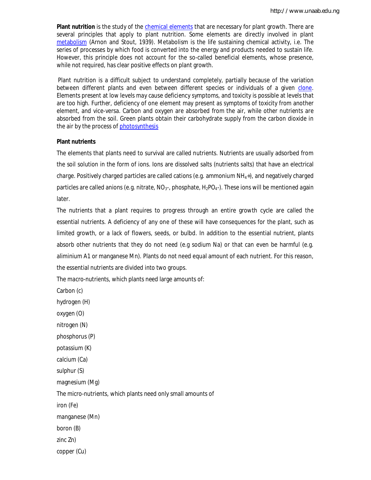**Plant nutrition** is the study of the chemical elements that are necessary for plant growth. There are several principles that apply to plant nutrition. Some elements are directly involved in plant metabolism (Arnon and Stout, 1939). Metabolism is the life sustaining chemical activity, i.e. The series of processes by which food is converted into the energy and products needed to sustain life. However, this principle does not account for the so-called beneficial elements, whose presence, while not required, has clear positive effects on plant growth.

Plant nutrition is a difficult subject to understand completely, partially because of the variation between different plants and even between different species or individuals of a given clone. Elements present at low levels may cause deficiency symptoms, and toxicity is possible at levels that are too high. Further, deficiency of one element may present as symptoms of toxicity from another element, and vice-versa. Carbon and oxygen are absorbed from the air, while other nutrients are absorbed from the soil. Green plants obtain their carbohydrate supply from the carbon dioxide in the air by the process of photosynthesis

#### **Plant nutrients**

The elements that plants need to survival are called nutrients. Nutrients are usually adsorbed from the soil solution in the form of ions. Ions are dissolved salts (nutrients salts) that have an electrical charge. Positively charged particles are called cations (e.g. ammonium NH4+), and negatively charged particles are called anions (e.g. nitrate,  $NO<sub>3</sub>$ , phosphate,  $H<sub>2</sub>PO<sub>4</sub>$ ). These ions will be mentioned again later.

The nutrients that a plant requires to progress through an entire growth cycle are called the essential nutrients. A deficiency of any one of these will have consequences for the plant, such as limited growth, or a lack of flowers, seeds, or bulbd. In addition to the essential nutrient, plants absorb other nutrients that they do not need (e.g sodium Na) or that can even be harmful (e.g. aliminium A1 or manganese Mn). Plants do not need equal amount of each nutrient. For this reason, the essential nutrients are divided into two groups.

The macro-nutrients, which plants need large amounts of:

Carbon (c)

hydrogen (H)

oxygen (O)

nitrogen (N)

phosphorus (P)

potassium (K)

calcium (Ca)

sulphur (S)

magnesium (Mg)

The micro-nutrients, which plants need only small amounts of

iron (Fe)

manganese (Mn)

boron (B)

zinc Zn)

copper (Cu)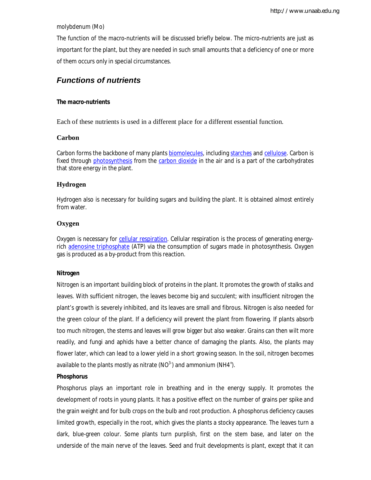molybdenum (Mo)

The function of the macro-nutrients will be discussed briefly below. The micro-nutrients are just as important for the plant, but they are needed in such small amounts that a deficiency of one or more of them occurs only in special circumstances.

### *Functions of nutrients*

#### **The macro-nutrients**

Each of these nutrients is used in a different place for a different essential function.

#### **Carbon**

Carbon forms the backbone of many plants biomolecules, including starches and cellulose. Carbon is fixed through photosynthesis from the carbon dioxide in the air and is a part of the carbohydrates that store energy in the plant.

#### **Hydrogen**

Hydrogen also is necessary for building sugars and building the plant. It is obtained almost entirely from water.

#### **Oxygen**

Oxygen is necessary for cellular respiration. Cellular respiration is the process of generating energyrich adenosine triphosphate (ATP) via the consumption of sugars made in photosynthesis. Oxygen gas is produced as a by-product from this reaction.

#### **Nitrogen**

Nitrogen is an important building block of proteins in the plant. It promotes the growth of stalks and leaves. With sufficient nitrogen, the leaves become big and succulent; with insufficient nitrogen the plant's growth is severely inhibited, and its leaves are small and fibrous. Nitrogen is also needed for the green colour of the plant. If a deficiency will prevent the plant from flowering. If plants absorb too much nitrogen, the stems and leaves will grow bigger but also weaker. Grains can then wilt more readily, and fungi and aphids have a better chance of damaging the plants. Also, the plants may flower later, which can lead to a lower yield in a short growing season. In the soil, nitrogen becomes available to the plants mostly as nitrate (NO $^3$ ) and ammonium (NH4<sup>+</sup>).

#### **Phosphorus**

Phosphorus plays an important role in breathing and in the energy supply. It promotes the development of roots in young plants. It has a positive effect on the number of grains per spike and the grain weight and for bulb crops on the bulb and root production. A phosphorus deficiency causes limited growth, especially in the root, which gives the plants a stocky appearance. The leaves turn a dark, blue-green colour. Some plants turn purplish, first on the stem base, and later on the underside of the main nerve of the leaves. Seed and fruit developments is plant, except that it can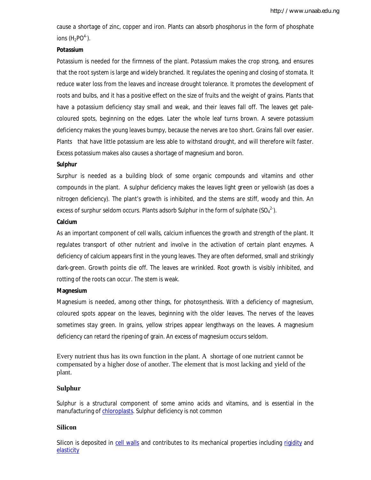cause a shortage of zinc, copper and iron. Plants can absorb phosphorus in the form of phosphate ions  $(H_2PO<sup>4</sup>)$ .

#### **Potassium**

Potassium is needed for the firmness of the plant. Potassium makes the crop strong, and ensures that the root system is large and widely branched. It regulates the opening and closing of stomata. It reduce water loss from the leaves and increase drought tolerance. It promotes the development of roots and bulbs, and it has a positive effect on the size of fruits and the weight of grains. Plants that have a potassium deficiency stay small and weak, and their leaves fall off. The leaves get palecoloured spots, beginning on the edges. Later the whole leaf turns brown. A severe potassium deficiency makes the young leaves bumpy, because the nerves are too short. Grains fall over easier. Plants that have little potassium are less able to withstand drought, and will therefore wilt faster. Excess potassium makes also causes a shortage of magnesium and boron.

#### **Sulphur**

Surphur is needed as a building block of some organic compounds and vitamins and other compounds in the plant. A sulphur deficiency makes the leaves light green or yellowish (as does a nitrogen deficiency). The plant's growth is inhibited, and the stems are stiff, woody and thin. An excess of surphur seldom occurs. Plants adsorb Sulphur in the form of sulphate  $(SO_4^2)$ .

#### **Calcium**

As an important component of cell walls, calcium influences the growth and strength of the plant. It regulates transport of other nutrient and involve in the activation of certain plant enzymes. A deficiency of calcium appears first in the young leaves. They are often deformed, small and strikingly dark-green. Growth points die off. The leaves are wrinkled. Root growth is visibly inhibited, and rotting of the roots can occur. The stem is weak.

#### **Magnesium**

Magnesium is needed, among other things, for photosynthesis. With a deficiency of magnesium, coloured spots appear on the leaves, beginning with the older leaves. The nerves of the leaves sometimes stay green. In grains, yellow stripes appear lengthways on the leaves. A magnesium deficiency can retard the ripening of grain. An excess of magnesium occurs seldom.

Every nutrient thus has its own function in the plant. A shortage of one nutrient cannot be compensated by a higher dose of another. The element that is most lacking and yield of the plant.

#### **Sulphur**

Sulphur is a structural component of some amino acids and vitamins, and is essential in the manufacturing of chloroplasts. Sulphur deficiency is not common

#### **Silicon**

Silicon is deposited in cell walls and contributes to its mechanical properties including rigidity and elasticity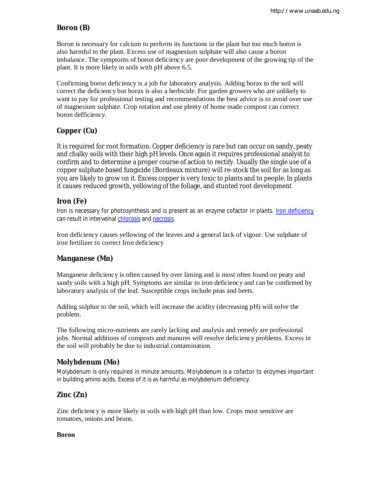## **Boron (B)**

Boron is necessary for calcium to perform its functions in the plant but too much boron is also harmful to the plant. Excess use of magnesium sulphate will also cause a boron imbalance. The symptoms of boron deficiency are poor development of the growing tip of the plant. It is more likely in soils with pH above 6.5.

Confirming boron deficiency is a job for laboratory analysis. Adding borax to the soil will correct the deficiency but borax is also a herbicide. For garden growers who are unlikely to want to pay for professional testing and recommendations the best advice is to avoid over use of magnesium sulphate. Crop rotation and use plenty of home made compost can correct boron defficiency.

## **Copper (Cu)**

It is required for root formation. Copper deficiency is rare but can occur on sandy, peaty and chalky soils with their high pH levels. Once again it requires professional analyst to confirm and to determine a proper course of action to rectify. Usually the single use of a copper sulphate based fungicide (Bordeaux mixture) will re-stock the soil for as long as you are likely to grow on it. Excess copper is very toxic to plants and to people. In plants it causes reduced growth, yellowing of the foliage, and stunted root development

### **Iron (Fe)**

Iron is necessary for photosynthesis and is present as an enzyme cofactor in plants. Iron deficiency can result in interveinal chlorosis and necrosis.

Iron deficiency causes yellowing of the leaves and a general lack of vigour. Use sulphate of iron fertilizer to correct Iron deficiency

### **Manganese (Mn)**

Manganese deficiency is often caused by over liming and is most often found on peaty and sandy soils with a high pH. Symptoms are similar to iron deficiency and can be confirmed by laboratory analysis of the leaf. Susceptible crops include peas and beets.

Adding sulphur to the soil, which will increase the acidity (decreasing pH) will solve the problem.

The following micro-nutrients are rarely lacking and analysis and remedy are professional jobs. Normal additions of composts and manures will resolve deficiency problems. Excess in the soil will probably be due to industrial contamination.

### **Molybdenum (Mo)**

Molybdenum is only required in minute amounts. Molybdenum is a cofactor to enzymes important in building amino acids. Excess of it is as harmful as molybdenum deficiency.

## **Zinc (Zn)**

Zinc deficiency is more likely in soils with high pH than low. Crops most sensitive are tomatoes, onions and beans.

#### **Boron**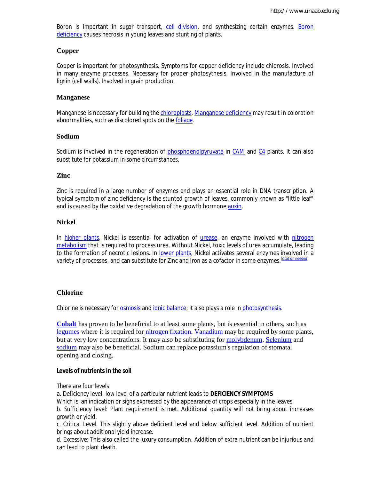Boron is important in sugar transport, cell division, and synthesizing certain enzymes. Boron deficiency causes necrosis in young leaves and stunting of plants.

#### **Copper**

Copper is important for photosynthesis. Symptoms for copper deficiency include chlorosis. Involved in many enzyme processes. Necessary for proper photosythesis. Involved in the manufacture of lignin (cell walls). Involved in grain production.

#### **Manganese**

Manganese is necessary for building the chloroplasts. Manganese deficiency may result in coloration abnormalities, such as discolored spots on the foliage.

#### **Sodium**

Sodium is involved in the regeneration of phosphoenolpyruvate in CAM and C4 plants. It can also substitute for potassium in some circumstances.

#### **Zinc**

Zinc is required in a large number of enzymes and plays an essential role in DNA transcription. A typical symptom of zinc deficiency is the stunted growth of leaves, commonly known as "little leaf" and is caused by the oxidative degradation of the growth hormone auxin.

#### **Nickel**

In higher plants, Nickel is essential for activation of urease, an enzyme involved with nitrogen metabolism that is required to process urea. Without Nickel, toxic levels of urea accumulate, leading to the formation of necrotic lesions. In lower plants, Nickel activates several enzymes involved in a variety of processes, and can substitute for Zinc and Iron as a cofactor in some enzymes.[*citation needed*]

#### **Chlorine**

Chlorine is necessary for osmosis and ionic balance; it also plays a role in photosynthesis.

**Cobalt** has proven to be beneficial to at least some plants, but is essential in others, such as legumes where it is required for nitrogen fixation. Vanadium may be required by some plants, but at very low concentrations. It may also be substituting for molybdenum. Selenium and sodium may also be beneficial. Sodium can replace potassium's regulation of stomatal opening and closing.

#### **Levels of nutrients in the soil**

There are four levels

a. Deficiency level: low level of a particular nutrient leads to **DEFICIENCY SYMPTOMS** 

Which is an indication or signs expressed by the appearance of crops especially in the leaves.

b. Sufficiency level: Plant requirement is met. Additional quantity will not bring about increases growth or yield.

c. Critical Level. This slightly above deficient level and below sufficient level. Addition of nutrient brings about additional yield increase.

d. Excessive: This also called the luxury consumption. Addition of extra nutrient can be injurious and can lead to plant death.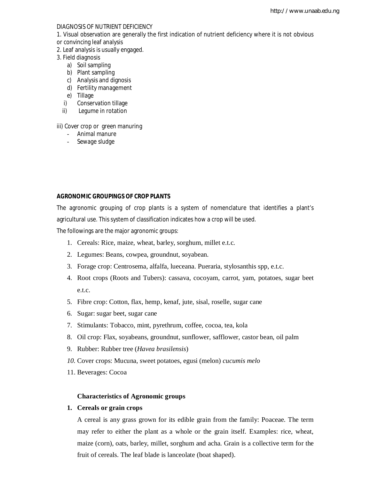#### DIAGNOSIS OF NUTRIENT DEFICIENCY

- 1. Visual observation are generally the first indication of nutrient deficiency where it is not obvious
- or convincing leaf analysis
- 2. Leaf analysis is usually engaged.
- 3. Field diagnosis
	- a) Soil sampling
	- b) Plant sampling
	- c) Analysis and dignosis
	- d) Fertility management
	- e) Tillage
	- i) Conservation tillage
	- ii) Legume in rotation

iii) Cover crop or green manuring

- Animal manure
- Sewage sludge

#### **AGRONOMIC GROUPINGS OF CROP PLANTS**

The agronomic grouping of crop plants is a system of nomenclature that identifies a plant's agricultural use. This system of classification indicates how a crop will be used.

The followings are the major agronomic groups:

- 1. Cereals: Rice, maize, wheat, barley, sorghum, millet e.t.c.
- 2. Legumes: Beans, cowpea, groundnut, soyabean.
- 3. Forage crop: Centrosema, alfalfa, lueceana. Pueraria, stylosanthis spp, e.t.c.
- 4. Root crops (Roots and Tubers): cassava, cocoyam, carrot, yam, potatoes, sugar beet e.t.c.
- 5. Fibre crop: Cotton, flax, hemp, kenaf, jute, sisal, roselle, sugar cane
- 6. Sugar: sugar beet, sugar cane
- 7. Stimulants: Tobacco, mint, pyrethrum, coffee, cocoa, tea, kola
- 8. Oil crop: Flax, soyabeans, groundnut, sunflower, safflower, castor bean, oil palm
- 9. Rubber: Rubber tree (*Havea brasilensis*)
- *10.* Cover crops: Mucuna, sweet potatoes, egusi (melon) *cucumis melo*
- 11. Beverages: Cocoa

#### **Characteristics of Agronomic groups**

#### **1. Cereals or grain crops**

A cereal is any grass grown for its edible grain from the family: Poaceae. The term may refer to either the plant as a whole or the grain itself. Examples: rice, wheat, maize (corn), oats, barley, millet, sorghum and acha. Grain is a collective term for the fruit of cereals. The leaf blade is lanceolate (boat shaped).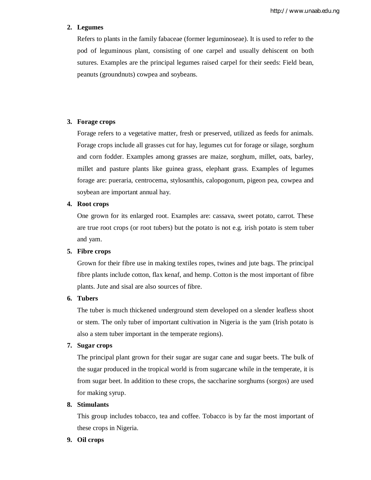#### **2. Legumes**

Refers to plants in the family fabaceae (former leguminoseae). It is used to refer to the pod of leguminous plant, consisting of one carpel and usually dehiscent on both sutures. Examples are the principal legumes raised carpel for their seeds: Field bean, peanuts (groundnuts) cowpea and soybeans.

#### **3. Forage crops**

Forage refers to a vegetative matter, fresh or preserved, utilized as feeds for animals. Forage crops include all grasses cut for hay, legumes cut for forage or silage, sorghum and corn fodder. Examples among grasses are maize, sorghum, millet, oats, barley, millet and pasture plants like guinea grass, elephant grass. Examples of legumes forage are: pueraria, centrocema, stylosanthis, calopogonum, pigeon pea, cowpea and soybean are important annual hay.

#### **4. Root crops**

One grown for its enlarged root. Examples are: cassava, sweet potato, carrot. These are true root crops (or root tubers) but the potato is not e.g. irish potato is stem tuber and yam.

#### **5. Fibre crops**

Grown for their fibre use in making textiles ropes, twines and jute bags. The principal fibre plants include cotton, flax kenaf, and hemp. Cotton is the most important of fibre plants. Jute and sisal are also sources of fibre.

#### **6. Tubers**

The tuber is much thickened underground stem developed on a slender leafless shoot or stem. The only tuber of important cultivation in Nigeria is the yam (Irish potato is also a stem tuber important in the temperate regions).

#### **7. Sugar crops**

The principal plant grown for their sugar are sugar cane and sugar beets. The bulk of the sugar produced in the tropical world is from sugarcane while in the temperate, it is from sugar beet. In addition to these crops, the saccharine sorghums (sorgos) are used for making syrup.

#### **8. Stimulants**

This group includes tobacco, tea and coffee. Tobacco is by far the most important of these crops in Nigeria.

#### **9. Oil crops**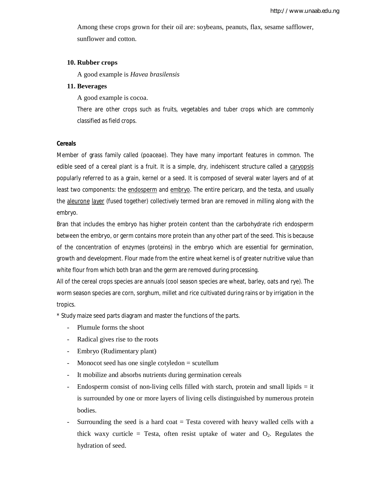Among these crops grown for their oil are: soybeans, peanuts, flax, sesame safflower, sunflower and cotton.

#### **10. Rubber crops**

A good example is *Havea brasilensis*

#### **11. Beverages**

A good example is cocoa.

There are other crops such as fruits, vegetables and tuber crops which are commonly classified as field crops.

#### **Cereals**

Member of grass family called (poaceae). They have many important features in common. The edible seed of a cereal plant is a fruit. It is a simple, dry, indehiscent structure called a caryopsis popularly referred to as a grain, kernel or a seed. It is composed of several water layers and of at least two components: the endosperm and embryo. The entire pericarp, and the testa, and usually the aleurone layer (fused together) collectively termed bran are removed in milling along with the embryo.

Bran that includes the embryo has higher protein content than the carbohydrate rich endosperm between the embryo, or germ contains more protein than any other part of the seed. This is because of the concentration of enzymes (proteins) in the embryo which are essential for germination, growth and development. Flour made from the entire wheat kernel is of greater nutritive value than white flour from which both bran and the germ are removed during processing.

All of the cereal crops species are annuals (cool season species are wheat, barley, oats and rye). The worm season species are corn, sorghum, millet and rice cultivated during rains or by irrigation in the tropics.

\* Study maize seed parts diagram and master the functions of the parts.

- Plumule forms the shoot
- Radical gives rise to the roots
- Embryo (Rudimentary plant)
- Monocot seed has one single cotyledon = scutellum
- It mobilize and absorbs nutrients during germination cereals
- Endosperm consist of non-living cells filled with starch, protein and small lipids = it is surrounded by one or more layers of living cells distinguished by numerous protein bodies.
- Surrounding the seed is a hard coat  $=$  Testa covered with heavy walled cells with a thick waxy curticle = Testa, often resist uptake of water and  $O_2$ . Regulates the hydration of seed.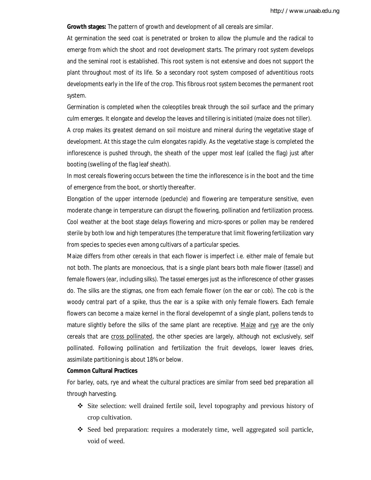**Growth stages:** The pattern of growth and development of all cereals are similar.

At germination the seed coat is penetrated or broken to allow the plumule and the radical to emerge from which the shoot and root development starts. The primary root system develops and the seminal root is established. This root system is not extensive and does not support the plant throughout most of its life. So a secondary root system composed of adventitious roots developments early in the life of the crop. This fibrous root system becomes the permanent root system.

Germination is completed when the coleoptiles break through the soil surface and the primary culm emerges. It elongate and develop the leaves and tillering is initiated (maize does not tiller). A crop makes its greatest demand on soil moisture and mineral during the vegetative stage of development. At this stage the culm elongates rapidly. As the vegetative stage is completed the inflorescence is pushed through, the sheath of the upper most leaf (called the flag) just after booting (swelling of the flag leaf sheath).

In most cereals flowering occurs between the time the inflorescence is in the boot and the time of emergence from the boot, or shortly thereafter.

Elongation of the upper internode (peduncle) and flowering are temperature sensitive, even moderate change in temperature can disrupt the flowering, pollination and fertilization process. Cool weather at the boot stage delays flowering and micro-spores or pollen may be rendered sterile by both low and high temperatures (the temperature that limit flowering fertilization vary from species to species even among cultivars of a particular species.

Maize differs from other cereals in that each flower is imperfect i.e. either male of female but not both. The plants are monoecious, that is a single plant bears both male flower (tassel) and female flowers (ear, including silks). The tassel emerges just as the inflorescence of other grasses do. The silks are the stigmas, one from each female flower (on the ear or cob). The cob is the woody central part of a spike, thus the ear is a spike with only female flowers. Each female flowers can become a maize kernel in the floral developemnt of a single plant, pollens tends to mature slightly before the silks of the same plant are receptive. Maize and rye are the only cereals that are cross pollinated, the other species are largely, although not exclusively, self pollinated. Following pollination and fertilization the fruit develops, lower leaves dries, assimilate partitioning is about 18% or below.

#### **Common Cultural Practices**

For barley, oats, rye and wheat the cultural practices are similar from seed bed preparation all through harvesting.

- Site selection: well drained fertile soil, level topography and previous history of crop cultivation.
- Seed bed preparation: requires a moderately time, well aggregated soil particle, void of weed.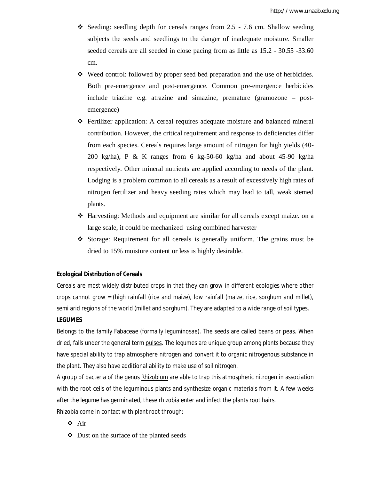- Seeding: seedling depth for cereals ranges from  $2.5 7.6$  cm. Shallow seeding subjects the seeds and seedlings to the danger of inadequate moisture. Smaller seeded cereals are all seeded in close pacing from as little as 15.2 - 30.55 -33.60 cm.
- Weed control: followed by proper seed bed preparation and the use of herbicides. Both pre-emergence and post-emergence. Common pre-emergence herbicides include triazine e.g. atrazine and simazine, premature (gramozone – postemergence)
- Fertilizer application: A cereal requires adequate moisture and balanced mineral contribution. However, the critical requirement and response to deficiencies differ from each species. Cereals requires large amount of nitrogen for high yields (40- 200 kg/ha), P & K ranges from 6 kg-50-60 kg/ha and about 45-90 kg/ha respectively. Other mineral nutrients are applied according to needs of the plant. Lodging is a problem common to all cereals as a result of excessively high rates of nitrogen fertilizer and heavy seeding rates which may lead to tall, weak stemed plants.
- Harvesting: Methods and equipment are similar for all cereals except maize. on a large scale, it could be mechanized using combined harvester
- Storage: Requirement for all cereals is generally uniform. The grains must be dried to 15% moisture content or less is highly desirable.

#### **Ecological Distribution of Cereals**

Cereals are most widely distributed crops in that they can grow in different ecologies where other crops cannot grow = (high rainfall (rice and maize), low rainfall (maize, rice, sorghum and millet), semi arid regions of the world (millet and sorghum). They are adapted to a wide range of soil types.

#### **LEGUMES**

Belongs to the family Fabaceae (formally leguminosae). The seeds are called beans or peas. When dried, falls under the general term pulses. The legumes are unique group among plants because they have special ability to trap atmosphere nitrogen and convert it to organic nitrogenous substance in the plant. They also have additional ability to make use of soil nitrogen.

A group of bacteria of the genus Rhizobium are able to trap this atmospheric nitrogen in association with the root cells of the leguminous plants and synthesize organic materials from it. A few weeks after the legume has germinated, these rhizobia enter and infect the plants root hairs.

Rhizobia come in contact with plant root through:

- Air
- $\triangleleft$  Dust on the surface of the planted seeds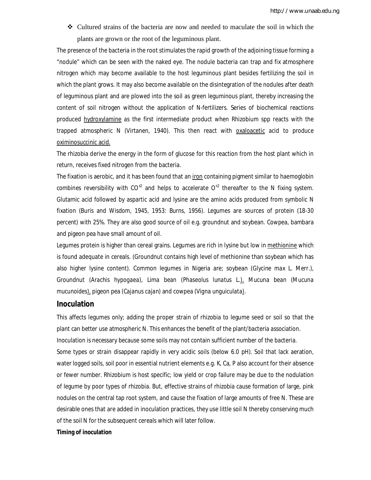Cultured strains of the bacteria are now and needed to maculate the soil in which the plants are grown or the root of the leguminous plant.

The presence of the bacteria in the root stimulates the rapid growth of the adjoining tissue forming a "nodule" which can be seen with the naked eye. The nodule bacteria can trap and fix atmosphere nitrogen which may become available to the host leguminous plant besides fertilizing the soil in which the plant grows. It may also become available on the disintegration of the nodules after death of leguminous plant and are plowed into the soil as green leguminous plant, thereby increasing the content of soil nitrogen without the application of N-fertilizers. Series of biochemical reactions produced hydroxylamine as the first intermediate product when Rhizobium spp reacts with the trapped atmospheric N (Virtanen, 1940). This then react with oxaloacetic acid to produce oximinosuccinic acid.

The rhizobia derive the energy in the form of glucose for this reaction from the host plant which in return, receives fixed nitrogen from the bacteria.

The fixation is aerobic, and it has been found that an *iron* containing pigment similar to haemoglobin combines reversibility with  $CO^{2}$  and helps to accelerate  $O^{2}$  thereafter to the N fixing system. Glutamic acid followed by aspartic acid and lysine are the amino acids produced from symbolic N fixation (Buris and Wisdom, 1945, 1953: Burns, 1956). Legumes are sources of protein (18-30 percent) with 25%. They are also good source of oil e.g. groundnut and soybean. Cowpea, bambara and pigeon pea have small amount of oil.

Legumes protein is higher than cereal grains. Legumes are rich in lysine but low in methionine which is found adequate in cereals. (Groundnut contains high level of methionine than soybean which has also higher lysine content). Common legumes in Nigeria are; soybean (*Glycine max* L. Merr.), Groundnut (*Arachis hypogaea)*, Lima bean (*Phaseolus lunatus* L.), Mucuna bean (*Mucuna mucunoides*), pigeon pea (*Cajanus cajan)* and cowpea (*Vigna unguiculata*).

#### **Inoculation**

This affects legumes only; adding the proper strain of rhizobia to legume seed or soil so that the plant can better use atmospheric N. This enhances the benefit of the plant/bacteria association. Inoculation is necessary because some soils may not contain sufficient number of the bacteria. Some types or strain disappear rapidly in very acidic soils (below 6.0 pH). Soil that lack aeration, water logged soils, soil poor in essential nutrient elements e.g. K, Ca, P also account for their absence or fewer number. Rhizobium is host specific; low yield or crop failure may be due to the nodulation of legume by poor types of rhizobia. But, effective strains of rhizobia cause formation of large, pink nodules on the central tap root system, and cause the fixation of large amounts of free N. These are desirable ones that are added in inoculation practices, they use little soil N thereby conserving much of the soil N for the subsequent cereals which will later follow.

#### **Timing of inoculation**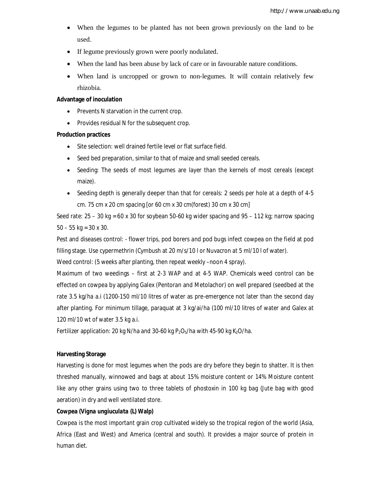- When the legumes to be planted has not been grown previously on the land to be used.
- If legume previously grown were poorly nodulated.
- When the land has been abuse by lack of care or in favourable nature conditions.
- When land is uncropped or grown to non-legumes. It will contain relatively few rhizobia.

#### **Advantage of inoculation**

- Prevents N starvation in the current crop.
- Provides residual N for the subsequent crop.

#### **Production practices**

- Site selection: well drained fertile level or flat surface field.
- Seed bed preparation, similar to that of maize and small seeded cereals.
- Seeding: The seeds of most legumes are layer than the kernels of most cereals (except maize).
- Seeding depth is generally deeper than that for cereals: 2 seeds per hole at a depth of 4-5 cm. 75 cm x 20 cm spacing [or 60 cm x 30 cm(forest) 30 cm x 30 cm]

Seed rate:  $25 - 30$  kg = 60 x 30 for soybean 50-60 kg wider spacing and  $95 - 112$  kg; narrow spacing  $50 - 55$  kg = 30 x 30.

Pest and diseases control: - flower trips, pod borers and pod bugs infect cowpea on the field at pod filling stage. Use cypermethrin (Cymbush at 20 m/s/10 l or Nuvacron at 5 ml/10 l of water).

Weed control: (5 weeks after planting, then repeat weekly –noon 4 spray).

Maximum of two weedings – first at 2-3 WAP and at 4-5 WAP. Chemicals weed control can be effected on cowpea by applying Galex (Pentoran and Metolachor) on well prepared (seedbed at the rate 3.5 kg/ha a.i (1200-150 ml/10 litres of water as pre-emergence not later than the second day after planting. For minimum tillage, paraquat at 3 kg/ai/ha (100 ml/10 litres of water and Galex at 120 ml/10 wt of water 3.5 kg a.i.

Fertilizer application: 20 kg N/ha and 30-60 kg  $P_2O_5/h$ a with 45-90 kg K<sub>2</sub>O/ha.

#### **Harvesting Storage**

Harvesting is done for most legumes when the pods are dry before they begin to shatter. It is then threshed manually, winnowed and bags at about 15% moisture content or 14% Moisture content like any other grains using two to three tablets of phostoxin in 100 kg bag (Jute bag with good aeration) in dry and well ventilated store.

#### **Cowpea (***Vigna ungiuculata* **(L) Walp)**

Cowpea is the most important grain crop cultivated widely so the tropical region of the world (Asia, Africa (East and West) and America (central and south). It provides a major source of protein in human diet.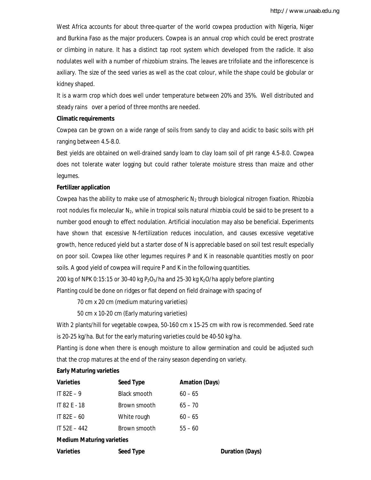West Africa accounts for about three-quarter of the world cowpea production with Nigeria, Niger and Burkina Faso as the major producers. Cowpea is an annual crop which could be erect prostrate or climbing in nature. It has a distinct tap root system which developed from the radicle. It also nodulates well with a number of rhizobium strains. The leaves are trifoliate and the inflorescence is axiliary. The size of the seed varies as well as the coat colour, while the shape could be globular or kidney shaped.

It is a warm crop which does well under temperature between 20% and 35%. Well distributed and steady rains over a period of three months are needed.

#### **Climatic requirements**

Cowpea can be grown on a wide range of soils from sandy to clay and acidic to basic soils with pH ranging between 4.5-8.0.

Best yields are obtained on well-drained sandy loam to clay loam soil of pH range 4.5-8.0. Cowpea does not tolerate water logging but could rather tolerate moisture stress than maize and other legumes.

#### **Fertilizer application**

Cowpea has the ability to make use of atmospheric  $N_2$  through biological nitrogen fixation. Rhizobia root nodules fix molecular  $N_2$ , while in tropical soils natural rhizobia could be said to be present to a number good enough to effect nodulation. Artificial inoculation may also be beneficial. Experiments have shown that excessive N-fertilization reduces inoculation, and causes excessive vegetative growth, hence reduced yield but a starter dose of N is appreciable based on soil test result especially on poor soil. Cowpea like other legumes requires P and K in reasonable quantities mostly on poor soils. A good yield of cowpea will require P and K in the following quantities.

200 kg of NPK 0:15:15 or 30-40 kg  $P_2O_5/ha$  and 25-30 kg K<sub>2</sub>O/ha apply before planting Planting could be done on ridges or flat depend on field drainage with spacing of

70 cm x 20 cm (medium maturing varieties)

50 cm x 10-20 cm (Early maturing varieties)

With 2 plants/hill for vegetable cowpea, 50-160 cm x 15-25 cm with row is recommended. Seed rate is 20-25 kg/ha. But for the early maturing varieties could be 40-50 kg/ha.

Planting is done when there is enough moisture to allow germination and could be adjusted such that the crop matures at the end of the rainy season depending on variety.

#### **Early Maturing varieties**

| <b>Varieties</b> | <b>Seed Type</b> | <b>Amation (Days)</b> |
|------------------|------------------|-----------------------|
| IT 82E $-9$      | Black smooth     | $60 - 65$             |
| IT 82 E - 18     | Brown smooth     | $65 - 70$             |
| IT $82E - 60$    | White rough      | $60 - 65$             |
| IT 52F $-442$    | Brown smooth     | $55 - 60$             |
|                  |                  |                       |

#### **Medium Maturing varieties**

|  |  | <b>Varieties</b> |  |
|--|--|------------------|--|
|  |  |                  |  |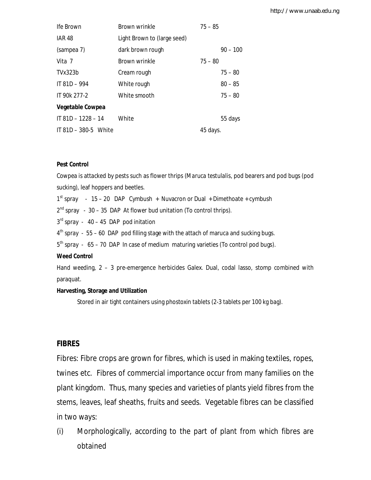| Ife Brown                | Brown wrinkle               | $75 - 85$  |
|--------------------------|-----------------------------|------------|
| <b>IAR 48</b>            | Light Brown to (large seed) |            |
| (sampea 7)               | dark brown rough            | $90 - 100$ |
| Vita 7                   | Brown wrinkle               | $75 - 80$  |
| TVx323b                  | Cream rough                 | $75 - 80$  |
| $IT 81D - 994$           | White rough                 | $80 - 85$  |
| IT 90k 277-2             | White smooth                | $75 - 80$  |
| <b>Vegetable Cowpea</b>  |                             |            |
| IT $81D - 1228 - 14$     | White                       | 55 days    |
| IT $81D - 380 - 5$ White |                             | 45 days.   |

#### **Pest Control**

Cowpea is attacked by pests such as flower thrips (*Maruca testulalis*, pod bearers and pod bugs (pod sucking), leaf hoppers and beetles.

1<sup>st</sup> spray - 15 - 20 DAP Cymbush + Nuvacron or Dual + Dimethoate + cymbush

 $2^{nd}$  spray - 30 – 35 DAP At flower bud unitation (To control thrips).

 $3<sup>rd</sup>$  spray - 40 – 45 DAP pod initation

4<sup>th</sup> spray - 55 - 60 DAP pod filling stage with the attach of maruca and sucking bugs.

5<sup>th</sup> spray - 65 - 70 DAP In case of medium maturing varieties (To control pod bugs).

#### **Weed Control**

Hand weeding, 2 – 3 pre-emergence herbicides Galex. Dual, codal lasso, stomp combined with paraquat.

#### **Harvesting, Storage and Utilization**

Stored in air tight containers using phostoxin tablets (2-3 tablets per 100 kg bag).

### **FIBRES**

Fibres: Fibre crops are grown for fibres, which is used in making textiles, ropes, twines etc. Fibres of commercial importance occur from many families on the plant kingdom. Thus, many species and varieties of plants yield fibres from the stems, leaves, leaf sheaths, fruits and seeds. Vegetable fibres can be classified in two ways:

(i) Morphologically, according to the part of plant from which fibres are obtained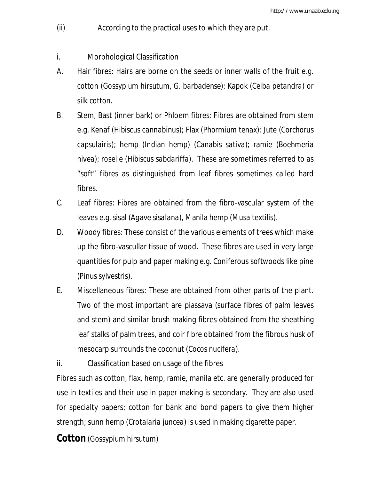- (ii) According to the practical uses to which they are put.
- i. Morphological Classification
- A. Hair fibres: Hairs are borne on the seeds or inner walls of the fruit e.g. cotton (*Gossypium hirsutum*, *G. barbadense*); Kapok (*Ceiba petandra*) or silk cotton.
- B. Stem, Bast (inner bark) or Phloem fibres: Fibres are obtained from stem e.g. Kenaf (*Hibiscus cannabinus*); Flax (*Phormium tenax*); Jute (*Corchorus capsulairis*); hemp (Indian hemp) (*Canabis sativa*); ramie (*Boehmeria nivea*); roselle (*Hibiscus sabdariffa*). These are sometimes referred to as "soft" fibres as distinguished from leaf fibres sometimes called hard fibres.
- C. Leaf fibres: Fibres are obtained from the fibro-vascular system of the leaves e.g. sisal (*Agave sisalana*), Manila hemp (*Musa textilis*).
- D. Woody fibres: These consist of the various elements of trees which make up the fibro-vascullar tissue of wood. These fibres are used in very large quantities for pulp and paper making e.g. Coniferous softwoods like pine (*Pinus sylvestris*).
- E. Miscellaneous fibres: These are obtained from other parts of the plant. Two of the most important are piassava (surface fibres of palm leaves and stem) and similar brush making fibres obtained from the sheathing leaf stalks of palm trees, and coir fibre obtained from the fibrous husk of mesocarp surrounds the coconut (*Cocos nucifera).*

ii. Classification based on usage of the fibres Fibres such as cotton, flax, hemp, ramie, manila etc. are generally produced for use in textiles and their use in paper making is secondary. They are also used for specialty papers; cotton for bank and bond papers to give them higher strength; sunn hemp (*Crotalaria juncea*) is used in making cigarette paper.

**Cotton** (*Gossypium hirsutum*)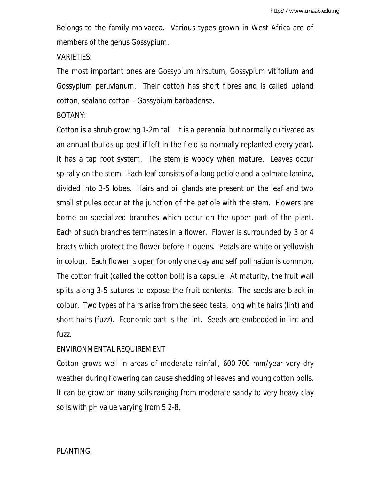Belongs to the family malvacea. Various types grown in West Africa are of members of the genus Gossypium.

VARIETIES:

The most important ones are *Gossypium hirsutum, Gossypium vitifolium* and *Gossypium peruvianum.* Their cotton has short fibres and is called upland cotton, sealand cotton – *Gossypium barbadense.*

### BOTANY:

Cotton is a shrub growing 1-2m tall. It is a perennial but normally cultivated as an annual (builds up pest if left in the field so normally replanted every year). It has a tap root system. The stem is woody when mature. Leaves occur spirally on the stem. Each leaf consists of a long petiole and a palmate lamina, divided into 3-5 lobes. Hairs and oil glands are present on the leaf and two small stipules occur at the junction of the petiole with the stem. Flowers are borne on specialized branches which occur on the upper part of the plant. Each of such branches terminates in a flower. Flower is surrounded by 3 or 4 bracts which protect the flower before it opens. Petals are white or yellowish in colour. Each flower is open for only one day and self pollination is common. The cotton fruit (called the cotton boll) is a capsule. At maturity, the fruit wall splits along 3-5 sutures to expose the fruit contents. The seeds are black in colour. Two types of hairs arise from the seed testa, long white hairs (lint) and short hairs (fuzz). Economic part is the lint. Seeds are embedded in lint and fuzz.

## ENVIRONMENTAL REQUIREMENT

Cotton grows well in areas of moderate rainfall, 600-700 mm/year very dry weather during flowering can cause shedding of leaves and young cotton bolls. It can be grow on many soils ranging from moderate sandy to very heavy clay soils with pH value varying from 5.2-8.

## PLANTING: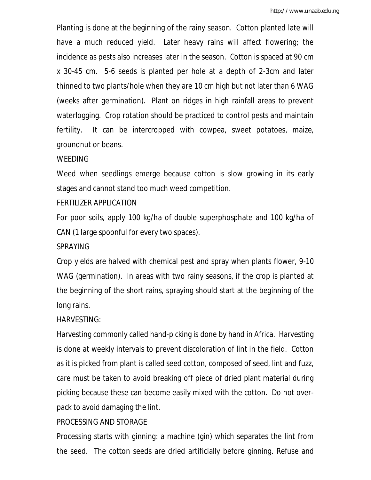Planting is done at the beginning of the rainy season. Cotton planted late will have a much reduced yield. Later heavy rains will affect flowering; the incidence as pests also increases later in the season. Cotton is spaced at 90 cm x 30-45 cm. 5-6 seeds is planted per hole at a depth of 2-3cm and later thinned to two plants/hole when they are 10 cm high but not later than 6 WAG (weeks after germination). Plant on ridges in high rainfall areas to prevent waterlogging. Crop rotation should be practiced to control pests and maintain fertility. It can be intercropped with cowpea, sweet potatoes, maize, groundnut or beans.

### WEEDING

Weed when seedlings emerge because cotton is slow growing in its early stages and cannot stand too much weed competition.

### FERTILIZER APPLICATION

For poor soils, apply 100 kg/ha of double superphosphate and 100 kg/ha of CAN (1 large spoonful for every two spaces).

### SPRAYING

Crop yields are halved with chemical pest and spray when plants flower, 9-10 WAG (germination). In areas with two rainy seasons, if the crop is planted at the beginning of the short rains, spraying should start at the beginning of the long rains.

## HARVESTING:

Harvesting commonly called hand-picking is done by hand in Africa. Harvesting is done at weekly intervals to prevent discoloration of lint in the field. Cotton as it is picked from plant is called seed cotton, composed of seed, lint and fuzz, care must be taken to avoid breaking off piece of dried plant material during picking because these can become easily mixed with the cotton. Do not overpack to avoid damaging the lint.

## PROCESSING AND STORAGE

Processing starts with ginning: a machine (gin) which separates the lint from the seed. The cotton seeds are dried artificially before ginning. Refuse and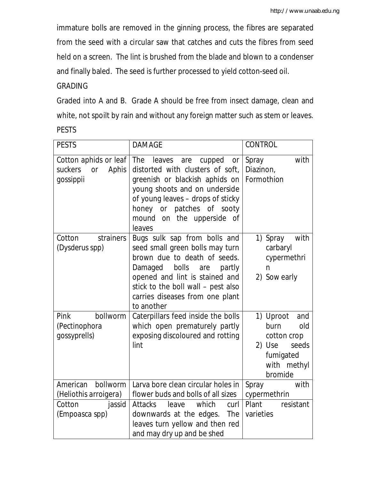immature bolls are removed in the ginning process, the fibres are separated from the seed with a circular saw that catches and cuts the fibres from seed held on a screen. The lint is brushed from the blade and blown to a condenser and finally baled. The seed is further processed to yield cotton-seed oil.

## GRADING

Graded into A and B. Grade A should be free from insect damage, clean and white, not spoilt by rain and without any foreign matter such as stem or leaves. PESTS

| <b>PESTS</b>                                                                        | <b>DAMAGE</b>                                                                                                                                                                                                                                              | <b>CONTROL</b>                                                                                           |
|-------------------------------------------------------------------------------------|------------------------------------------------------------------------------------------------------------------------------------------------------------------------------------------------------------------------------------------------------------|----------------------------------------------------------------------------------------------------------|
| Cotton aphids or leaf<br>suckers<br>Aphis<br><b>or</b><br>gossippii                 | The<br>leaves<br>cupped<br>are<br>or<br>distorted with clusters of soft,<br>greenish or blackish aphids on<br>young shoots and on underside<br>of young leaves - drops of sticky<br>honey or patches of sooty<br>mound on the upperside of<br>leaves       | Spray<br>with<br>Diazinon,<br>Formothion                                                                 |
| Cotton<br>strainers<br>(Dysderus spp)                                               | Bugs sulk sap from bolls and<br>seed small green bolls may turn<br>brown due to death of seeds.<br>Damaged bolls<br>partly<br>are<br>opened and lint is stained and<br>stick to the boll wall - pest also<br>carries diseases from one plant<br>to another | with<br>1) Spray<br>carbaryl<br>cypermethri<br>$\mathsf{n}$<br>2) Sow early                              |
| bollworm<br>Pink<br>(Pectinophora<br>gossyprells)                                   | Caterpillars feed inside the bolls<br>which open prematurely partly<br>exposing discoloured and rotting<br>lint                                                                                                                                            | 1) Uproot<br>and<br>burn<br>old<br>cotton crop<br>2) Use<br>seeds<br>fumigated<br>with methyl<br>bromide |
| American<br>bollworm<br>(Heliothis arroigera)<br>Cotton<br>jassid<br>(Empoasca spp) | Larva bore clean circular holes in<br>flower buds and bolls of all sizes<br>which<br><b>Attacks</b><br>leave<br>curl<br>downwards at the edges.<br>The<br>leaves turn yellow and then red<br>and may dry up and be shed                                    | with<br>Spray<br>cypermethrin<br>Plant<br>resistant<br>varieties                                         |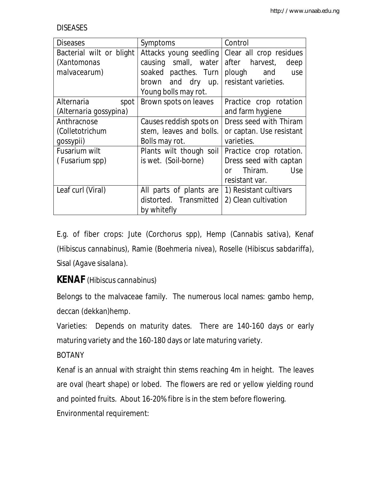**DISEASES** 

| <b>Diseases</b>          | Symptoms                | Control                     |
|--------------------------|-------------------------|-----------------------------|
| Bacterial wilt or blight | Attacks young seedling  | Clear all crop residues     |
| (Xantomonas              | causing small, water    | after harvest,<br>deep      |
| malvacearum)             | soaked pacthes. Turn    | plough and<br>use           |
|                          | brown and dry up.       | resistant varieties.        |
|                          | Young bolls may rot.    |                             |
| Alternaria<br>spot       | Brown spots on leaves   | Practice crop rotation      |
| (Alternaria gossypina)   |                         | and farm hygiene            |
| Anthracnose              | Causes reddish spots on | Dress seed with Thiram      |
| (Colletotrichum          | stem, leaves and bolls. | or captan. Use resistant    |
| gossypii)                | Bolls may rot.          | varieties.                  |
| Fusarium wilt            | Plants wilt though soil | Practice crop rotation.     |
| (Fusarium spp)           | is wet. (Soil-borne)    | Dress seed with captan      |
|                          |                         | Thiram.<br>Use<br><u>nr</u> |
|                          |                         | resistant var.              |
| Leaf curl (Viral)        | All parts of plants are | 1) Resistant cultivars      |
|                          | distorted. Transmitted  | 2) Clean cultivation        |
|                          | by whitefly             |                             |

E.g. of fiber crops: Jute (Corchorus spp), Hemp (*Cannabis sativa*), Kenaf (*Hibiscus cannabinus*), Ramie (*Boehmeria nivea*), Roselle (*Hibiscus sabdariffa)*, Sisal (*Agave sisalana*).

# **KENAF** (*Hibiscus cannabinus*)

Belongs to the malvaceae family. The numerous local names: gambo hemp, deccan (dekkan)hemp.

Varieties: Depends on maturity dates. There are 140-160 days or early maturing variety and the 160-180 days or late maturing variety.

## BOTANY

Kenaf is an annual with straight thin stems reaching 4m in height. The leaves are oval (heart shape) or lobed. The flowers are red or yellow yielding round and pointed fruits. About 16-20% fibre is in the stem before flowering. Environmental requirement: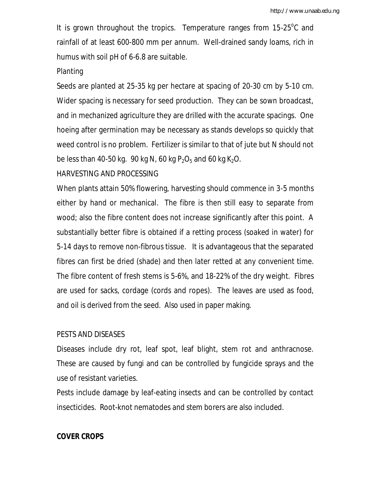It is grown throughout the tropics. Temperature ranges from 15-25°C and rainfall of at least 600-800 mm per annum. Well-drained sandy loams, rich in humus with soil pH of 6-6.8 are suitable.

### Planting

Seeds are planted at 25-35 kg per hectare at spacing of 20-30 cm by 5-10 cm. Wider spacing is necessary for seed production. They can be sown broadcast, and in mechanized agriculture they are drilled with the accurate spacings. One hoeing after germination may be necessary as stands develops so quickly that weed control is no problem. Fertilizer is similar to that of jute but N should not be less than 40-50 kg. 90 kg N, 60 kg P<sub>2</sub>O<sub>5</sub> and 60 kg K<sub>2</sub>O.

## HARVESTING AND PROCESSING

When plants attain 50% flowering, harvesting should commence in 3-5 months either by hand or mechanical. The fibre is then still easy to separate from wood; also the fibre content does not increase significantly after this point. A substantially better fibre is obtained if a retting process (soaked in water) for 5-14 days to remove non-fibrous tissue. It is advantageous that the separated fibres can first be dried (shade) and then later retted at any convenient time. The fibre content of fresh stems is 5-6%, and 18-22% of the dry weight. Fibres are used for sacks, cordage (cords and ropes). The leaves are used as food, and oil is derived from the seed. Also used in paper making.

## PESTS AND DISEASES

Diseases include dry rot, leaf spot, leaf blight, stem rot and anthracnose. These are caused by fungi and can be controlled by fungicide sprays and the use of resistant varieties.

Pests include damage by leaf-eating insects and can be controlled by contact insecticides. Root-knot nematodes and stem borers are also included.

## **COVER CROPS**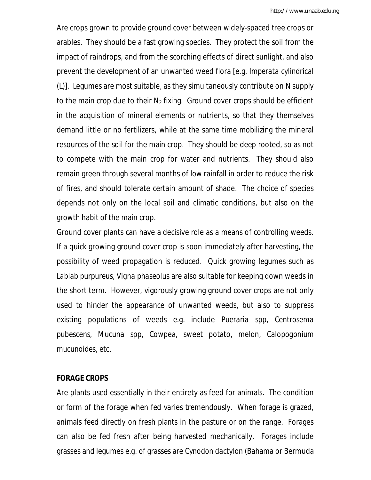Are crops grown to provide ground cover between widely-spaced tree crops or arables. They should be a fast growing species. They protect the soil from the impact of raindrops, and from the scorching effects of direct sunlight, and also prevent the development of an unwanted weed flora [e.g. *Imperata cylindrical* (L)]. Legumes are most suitable, as they simultaneously contribute on N supply to the main crop due to their  $N_2$  fixing. Ground cover crops should be efficient in the acquisition of mineral elements or nutrients, so that they themselves demand little or no fertilizers, while at the same time mobilizing the mineral resources of the soil for the main crop. They should be deep rooted, so as not to compete with the main crop for water and nutrients. They should also remain green through several months of low rainfall in order to reduce the risk of fires, and should tolerate certain amount of shade. The choice of species depends not only on the local soil and climatic conditions, but also on the growth habit of the main crop.

Ground cover plants can have a decisive role as a means of controlling weeds. If a quick growing ground cover crop is soon immediately after harvesting, the possibility of weed propagation is reduced. Quick growing legumes such as *Lablab purpureus, Vigna phaseolus* are also suitable for keeping down weeds in the short term. However, vigorously growing ground cover crops are not only used to hinder the appearance of unwanted weeds, but also to suppress existing populations of weeds e.g. include *Pueraria spp, Centrosema pubescens, Mucuna spp*, Cowpea, sweet potato, melon, *Calopogonium mucunoides*, etc.

### **FORAGE CROPS**

Are plants used essentially in their entirety as feed for animals. The condition or form of the forage when fed varies tremendously. When forage is grazed, animals feed directly on fresh plants in the pasture or on the range. Forages can also be fed fresh after being harvested mechanically. Forages include grasses and legumes e.g. of grasses are *Cynodon dactylon* (Bahama or Bermuda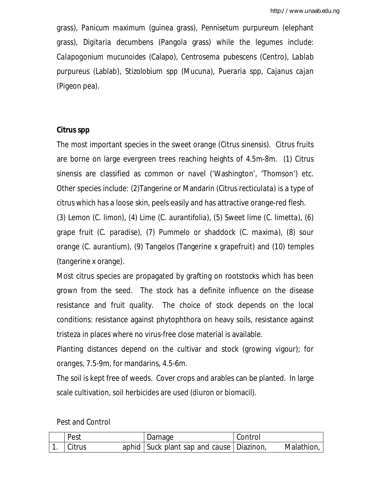grass), *Panicum maximum* (guinea grass), *Pennisetum purpureum* (elephant grass), *Digitaria decumbens* (Pangola grass) while the legumes include: *Calapogonium mucunoides* (Calapo), *Centrosema pubescens* (Centro), *Lablab purpureus* (Lablab), *Stizolobium spp* (Mucuna), *Pueraria spp, Cajanus cajan* (Pigeon pea).

## **Citrus spp**

The most important species in the sweet orange (*Citrus sinensis*). Citrus fruits are borne on large evergreen trees reaching heights of 4.5m-8m. (1) *Citrus sinensis* are classified as common or navel ('Washington', 'Thomson') etc. Other species include: (2)Tangerine or Mandarin (*Citrus recticulata)* is a type of citrus which has a loose skin, peels easily and has attractive orange-red flesh.

(3) Lemon (*C. limon*), (4) Lime (C*. aurantifolia*), (5) Sweet lime (*C. limetta*), (6) grape fruit (*C. paradise*), (7) Pummelo or shaddock (*C. maxima*), (8) sour orange (*C. aurantium*), (9) Tangelos (Tangerine x grapefruit) and (10) temples (tangerine x orange).

Most citrus species are propagated by grafting on rootstocks which has been grown from the seed. The stock has a definite influence on the disease resistance and fruit quality. The choice of stock depends on the local conditions: resistance against phytophthora on heavy soils, resistance against tristeza in places where no virus-free close material is available.

Planting distances depend on the cultivar and stock (growing vigour); for oranges, 7.5-9m, for mandarins, 4.5-6m.

The soil is kept free of weeds. Cover crops and arables can be planted. In large scale cultivation, soil herbicides are used (diuron or biomacil).

| Pest          | Damage                                     | Control |            |
|---------------|--------------------------------------------|---------|------------|
| <b>Citrus</b> | aphid Suck plant sap and cause   Diazinon, |         | Malathion, |

| Pest and Control |  |
|------------------|--|
|------------------|--|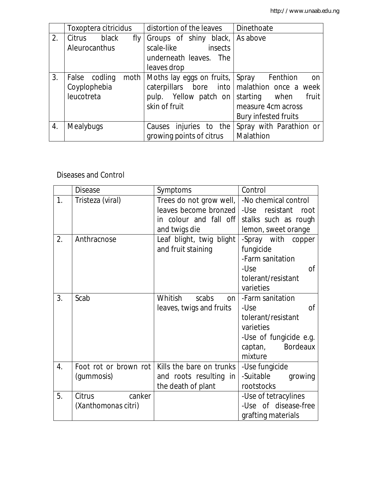|    | Toxoptera citricidus |      | distortion of the leaves        | Dinethoate                  |
|----|----------------------|------|---------------------------------|-----------------------------|
| 2. | Citrus<br>black      | fly  | Groups of shiny black,          | As above                    |
|    | Aleurocanthus        |      | scale-like<br>insects           |                             |
|    |                      |      | underneath leaves. The          |                             |
|    |                      |      | leaves drop                     |                             |
| 3. | False codling        | moth | Moths lay eggs on fruits, Spray | Fenthion<br>on              |
|    | Coyplophebia         |      | caterpillars bore into          | malathion once a week       |
|    | leucotreta           |      | pulp. Yellow patch on           | starting when<br>fruit      |
|    |                      |      | skin of fruit                   | measure 4cm across          |
|    |                      |      |                                 | <b>Bury infested fruits</b> |
| 4. | <b>Mealybugs</b>     |      | injuries to the<br>Causes       | Spray with Parathion or     |
|    |                      |      | growing points of citrus        | Malathion                   |

## Diseases and Control

|    | <b>Disease</b>        | Symptoms                 | Control                |
|----|-----------------------|--------------------------|------------------------|
| 1. | Tristeza (viral)      | Trees do not grow well,  | -No chemical control   |
|    |                       | leaves become bronzed    | -Use resistant<br>root |
|    |                       | in colour and fall off   | stalks such as rough   |
|    |                       | and twigs die            | lemon, sweet orange    |
| 2. | Anthracnose           | Leaf blight, twig blight | -Spray with copper     |
|    |                       | and fruit staining       | fungicide              |
|    |                       |                          | -Farm sanitation       |
|    |                       |                          | -Use<br>Ωf             |
|    |                       |                          | tolerant/resistant     |
|    |                       |                          | varieties              |
| 3. | Scab                  | Whitish<br>scabs<br>on   | -Farm sanitation       |
|    |                       | leaves, twigs and fruits | -Use<br><sub>O</sub> f |
|    |                       |                          | tolerant/resistant     |
|    |                       |                          | varieties              |
|    |                       |                          | -Use of fungicide e.g. |
|    |                       |                          | captan, Bordeaux       |
|    |                       |                          | mixture                |
| 4. | Foot rot or brown rot | Kills the bare on trunks | -Use fungicide         |
|    | (gummosis)            | and roots resulting in   | -Suitable<br>growing   |
|    |                       | the death of plant       | rootstocks             |
| 5. | Citrus<br>canker      |                          | -Use of tetracylines   |
|    | (Xanthomonas citri)   |                          | -Use of disease-free   |
|    |                       |                          | grafting materials     |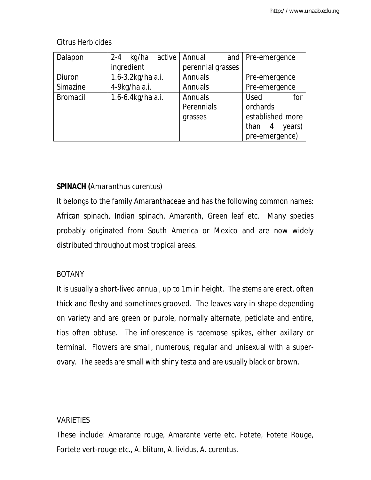| Dalapon         | $2 - 4$<br>kg/ha  | active   Annual   | and   Pre-emergence              |
|-----------------|-------------------|-------------------|----------------------------------|
|                 | ingredient        | perennial grasses |                                  |
| Diuron          | 1.6-3.2kg/ha a.i. | Annuals           | Pre-emergence                    |
| Simazine        | 4-9kg/ha a.i.     | Annuals           | Pre-emergence                    |
| <b>Bromacil</b> | 1.6-6.4kg/ha a.i. | Annuals           | <b>Used</b><br>for               |
|                 |                   | Perennials        | orchards                         |
|                 |                   | grasses           | established more                 |
|                 |                   |                   | years(<br>$\overline{4}$<br>than |
|                 |                   |                   | pre-emergence).                  |

## Citrus Herbicides

# **SPINACH (***Amaranthus curentus)*

It belongs to the family Amaranthaceae and has the following common names: African spinach, Indian spinach, Amaranth, Green leaf etc. Many species probably originated from South America or Mexico and are now widely distributed throughout most tropical areas.

## BOTANY

It is usually a short-lived annual, up to 1m in height. The stems are erect, often thick and fleshy and sometimes grooved. The leaves vary in shape depending on variety and are green or purple, normally alternate, petiolate and entire, tips often obtuse. The inflorescence is racemose spikes, either axillary or terminal. Flowers are small, numerous, regular and unisexual with a superovary. The seeds are small with shiny testa and are usually black or brown.

## **VARIETIES**

These include: Amarante rouge, Amarante verte etc. Fotete, Fotete Rouge, Fortete vert-rouge etc., *A. blitum, A. lividus*, *A. curentus*.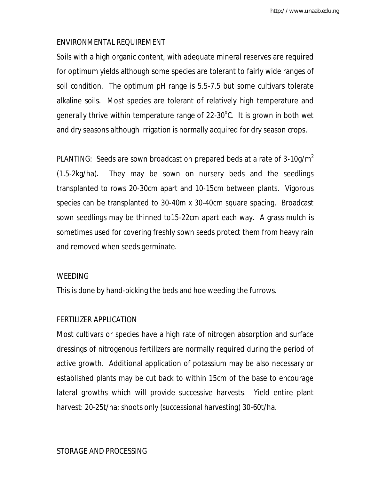## ENVIRONMENTAL REQUIREMENT

Soils with a high organic content, with adequate mineral reserves are required for optimum yields although some species are tolerant to fairly wide ranges of soil condition. The optimum pH range is 5.5-7.5 but some cultivars tolerate alkaline soils. Most species are tolerant of relatively high temperature and generally thrive within temperature range of 22-30°C. It is grown in both wet and dry seasons although irrigation is normally acquired for dry season crops.

PLANTING: Seeds are sown broadcast on prepared beds at a rate of  $3-10$ g/m<sup>2</sup> (1.5-2kg/ha). They may be sown on nursery beds and the seedlings transplanted to rows 20-30cm apart and 10-15cm between plants. Vigorous species can be transplanted to 30-40m x 30-40cm square spacing. Broadcast sown seedlings may be thinned to15-22cm apart each way. A grass mulch is sometimes used for covering freshly sown seeds protect them from heavy rain and removed when seeds germinate.

### WEEDING

This is done by hand-picking the beds and hoe weeding the furrows.

## FERTILIZER APPLICATION

Most cultivars or species have a high rate of nitrogen absorption and surface dressings of nitrogenous fertilizers are normally required during the period of active growth. Additional application of potassium may be also necessary or established plants may be cut back to within 15cm of the base to encourage lateral growths which will provide successive harvests. Yield entire plant harvest: 20-25t/ha; shoots only (successional harvesting) 30-60t/ha.

## STORAGE AND PROCESSING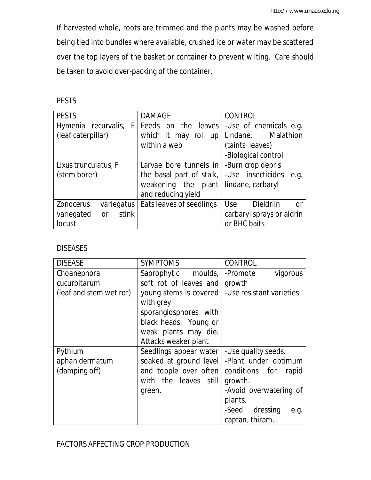If harvested whole, roots are trimmed and the plants may be washed before being tied into bundles where available, crushed ice or water may be scattered over the top layers of the basket or container to prevent wilting. Care should be taken to avoid over-packing of the container.

PESTS

| <b>PESTS</b>                     | <b>DAMAGE</b>                                    | <b>CONTROL</b>                          |
|----------------------------------|--------------------------------------------------|-----------------------------------------|
|                                  | Hymenia recurvalis, F   Feeds on the leaves      | -Use of chemicals e.g.                  |
| (leaf caterpillar)               |                                                  | which it may roll up Lindane. Malathion |
|                                  | within a web                                     | (taints leaves)                         |
|                                  |                                                  | -Biological control                     |
| Lixus trunculatus, F             | Larvae bore tunnels in $\vert$ -Burn crop debris |                                         |
| (stem borer)                     | the basal part of stalk,                         | -Use insecticides<br>e.g.               |
|                                  | weakening the plant lindane, carbaryl            |                                         |
|                                  | and reducing yield                               |                                         |
| <b>Zonocerus</b>                 | variegatus   Eats leaves of seedlings            | Use<br><b>Dieldriin</b><br><b>or</b>    |
| stink<br>variegated<br><b>or</b> |                                                  | carbaryl sprays or aldrin               |
| locust                           |                                                  | or BHC baits                            |

## DISEASES

| <b>DISEASE</b>          | <b>SYMPTOMS</b>        | <b>CONTROL</b>           |
|-------------------------|------------------------|--------------------------|
| Choanephora             | Saprophytic moulds,    | -Promote<br>vigorous     |
| cucurbitarum            | soft rot of leaves and | growth                   |
| (leaf and stem wet rot) | young stems is covered | -Use resistant varieties |
|                         | with grey              |                          |
|                         | sporangiosphores with  |                          |
|                         | black heads. Young or  |                          |
|                         | weak plants may die.   |                          |
|                         | Attacks weaker plant   |                          |
| Pythium                 | Seedlings appear water | -Use quality seeds.      |
| aphanidermatum          | soaked at ground level | -Plant under optimum     |
| (damping off)           | and topple over often  | conditions for<br>rapid  |
|                         | with the leaves still  | growth.                  |
|                         | green.                 | -Avoid overwatering of   |
|                         |                        | plants.                  |
|                         |                        | -Seed dressing<br>e.g.   |
|                         |                        | captan, thiram.          |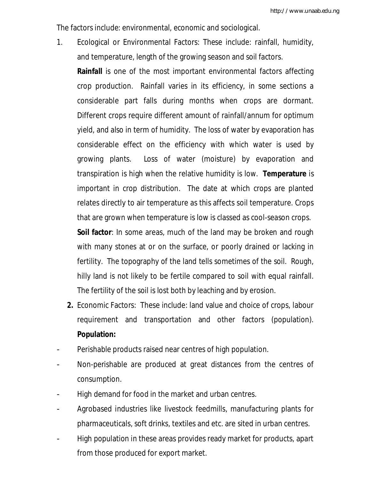The factors include: environmental, economic and sociological.

1. Ecological or Environmental Factors: These include: rainfall, humidity, and temperature, length of the growing season and soil factors.

**Rainfall** is one of the most important environmental factors affecting crop production. Rainfall varies in its efficiency, in some sections a considerable part falls during months when crops are dormant. Different crops require different amount of rainfall/annum for optimum yield, and also in term of humidity. The loss of water by evaporation has considerable effect on the efficiency with which water is used by growing plants. Loss of water (moisture) by evaporation and transpiration is high when the relative humidity is low. **Temperature** is important in crop distribution. The date at which crops are planted relates directly to air temperature as this affects soil temperature. Crops that are grown when temperature is low is classed as cool-season crops. **Soil factor**: In some areas, much of the land may be broken and rough

with many stones at or on the surface, or poorly drained or lacking in fertility. The topography of the land tells sometimes of the soil. Rough, hilly land is not likely to be fertile compared to soil with equal rainfall. The fertility of the soil is lost both by leaching and by erosion.

- **2.** Economic Factors: These include: land value and choice of crops, labour requirement and transportation and other factors (population). **Population:**
- Perishable products raised near centres of high population.
- Non-perishable are produced at great distances from the centres of consumption.
- High demand for food in the market and urban centres.
- Agrobased industries like livestock feedmills, manufacturing plants for pharmaceuticals, soft drinks, textiles and etc. are sited in urban centres.
- High population in these areas provides ready market for products, apart from those produced for export market.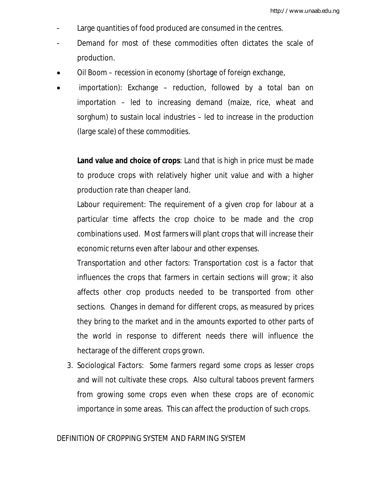- Large quantities of food produced are consumed in the centres.
- Demand for most of these commodities often dictates the scale of production.
- Oil Boom recession in economy (shortage of foreign exchange,
- importation): Exchange reduction, followed by a total ban on importation – led to increasing demand (maize, rice, wheat and sorghum) to sustain local industries – led to increase in the production (large scale) of these commodities.

**Land value and choice of crops**: Land that is high in price must be made to produce crops with relatively higher unit value and with a higher production rate than cheaper land.

Labour requirement: The requirement of a given crop for labour at a particular time affects the crop choice to be made and the crop combinations used. Most farmers will plant crops that will increase their economic returns even after labour and other expenses.

Transportation and other factors: Transportation cost is a factor that influences the crops that farmers in certain sections will grow; it also affects other crop products needed to be transported from other sections. Changes in demand for different crops, as measured by prices they bring to the market and in the amounts exported to other parts of the world in response to different needs there will influence the hectarage of the different crops grown.

3. Sociological Factors: Some farmers regard some crops as lesser crops and will not cultivate these crops. Also cultural taboos prevent farmers from growing some crops even when these crops are of economic importance in some areas. This can affect the production of such crops.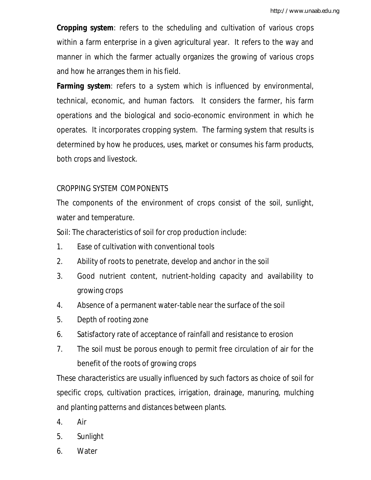**Cropping system**: refers to the scheduling and cultivation of various crops within a farm enterprise in a given agricultural year. It refers to the way and manner in which the farmer actually organizes the growing of various crops and how he arranges them in his field.

**Farming system**: refers to a system which is influenced by environmental, technical, economic, and human factors. It considers the farmer, his farm operations and the biological and socio-economic environment in which he operates. It incorporates cropping system. The farming system that results is determined by how he produces, uses, market or consumes his farm products, both crops and livestock.

### CROPPING SYSTEM COMPONENTS

The components of the environment of crops consist of the soil, sunlight, water and temperature.

Soil: The characteristics of soil for crop production include:

- 1. Ease of cultivation with conventional tools
- 2. Ability of roots to penetrate, develop and anchor in the soil
- 3. Good nutrient content, nutrient-holding capacity and availability to growing crops
- 4. Absence of a permanent water-table near the surface of the soil
- 5. Depth of rooting zone
- 6. Satisfactory rate of acceptance of rainfall and resistance to erosion
- 7. The soil must be porous enough to permit free circulation of air for the benefit of the roots of growing crops

These characteristics are usually influenced by such factors as choice of soil for specific crops, cultivation practices, irrigation, drainage, manuring, mulching and planting patterns and distances between plants.

- 4. Air
- 5. Sunlight
- 6. Water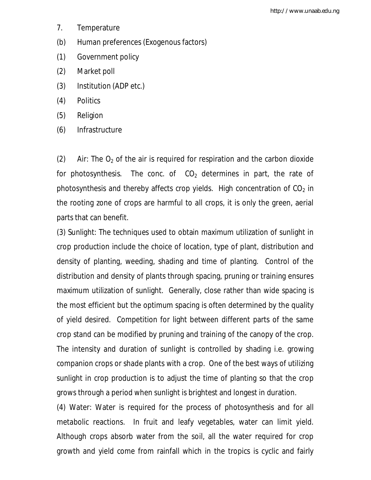- 7. Temperature
- (b) Human preferences (Exogenous factors)
- (1) Government policy
- (2) Market poll
- (3) Institution (ADP etc.)
- (4) Politics
- (5) Religion
- (6) Infrastructure

(2) Air: The  $O_2$  of the air is required for respiration and the carbon dioxide for photosynthesis. The conc. of  $CO<sub>2</sub>$  determines in part, the rate of photosynthesis and thereby affects crop yields. High concentration of  $CO<sub>2</sub>$  in the rooting zone of crops are harmful to all crops, it is only the green, aerial parts that can benefit.

(3) Sunlight: The techniques used to obtain maximum utilization of sunlight in crop production include the choice of location, type of plant, distribution and density of planting, weeding, shading and time of planting. Control of the distribution and density of plants through spacing, pruning or training ensures maximum utilization of sunlight. Generally, close rather than wide spacing is the most efficient but the optimum spacing is often determined by the quality of yield desired. Competition for light between different parts of the same crop stand can be modified by pruning and training of the canopy of the crop. The intensity and duration of sunlight is controlled by shading i.e. growing companion crops or shade plants with a crop. One of the best ways of utilizing sunlight in crop production is to adjust the time of planting so that the crop grows through a period when sunlight is brightest and longest in duration.

(4) Water: Water is required for the process of photosynthesis and for all metabolic reactions. In fruit and leafy vegetables, water can limit yield. Although crops absorb water from the soil, all the water required for crop growth and yield come from rainfall which in the tropics is cyclic and fairly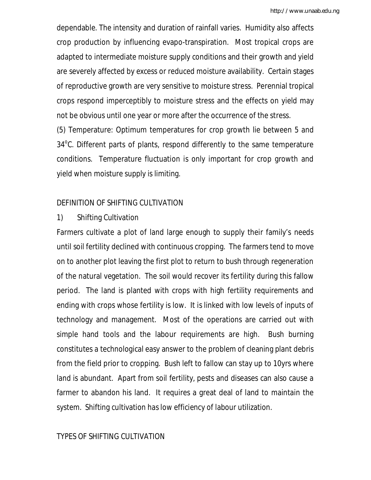dependable. The intensity and duration of rainfall varies. Humidity also affects crop production by influencing evapo-transpiration. Most tropical crops are adapted to intermediate moisture supply conditions and their growth and yield are severely affected by excess or reduced moisture availability. Certain stages of reproductive growth are very sensitive to moisture stress. Perennial tropical crops respond imperceptibly to moisture stress and the effects on yield may not be obvious until one year or more after the occurrence of the stress.

(5) Temperature: Optimum temperatures for crop growth lie between 5 and 34°C. Different parts of plants, respond differently to the same temperature conditions. Temperature fluctuation is only important for crop growth and yield when moisture supply is limiting.

## DEFINITION OF SHIFTING CULTIVATION

1) Shifting Cultivation

Farmers cultivate a plot of land large enough to supply their family's needs until soil fertility declined with continuous cropping. The farmers tend to move on to another plot leaving the first plot to return to bush through regeneration of the natural vegetation. The soil would recover its fertility during this fallow period. The land is planted with crops with high fertility requirements and ending with crops whose fertility is low. It is linked with low levels of inputs of technology and management. Most of the operations are carried out with simple hand tools and the labour requirements are high. Bush burning constitutes a technological easy answer to the problem of cleaning plant debris from the field prior to cropping. Bush left to fallow can stay up to 10yrs where land is abundant. Apart from soil fertility, pests and diseases can also cause a farmer to abandon his land. It requires a great deal of land to maintain the system. Shifting cultivation has low efficiency of labour utilization.

## TYPES OF SHIFTING CULTIVATION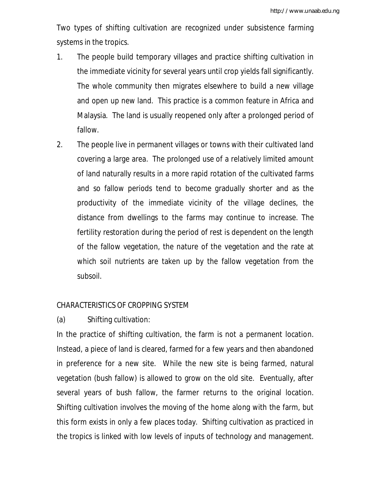Two types of shifting cultivation are recognized under subsistence farming systems in the tropics.

- 1. The people build temporary villages and practice shifting cultivation in the immediate vicinity for several years until crop yields fall significantly. The whole community then migrates elsewhere to build a new village and open up new land. This practice is a common feature in Africa and Malaysia. The land is usually reopened only after a prolonged period of fallow.
- 2. The people live in permanent villages or towns with their cultivated land covering a large area. The prolonged use of a relatively limited amount of land naturally results in a more rapid rotation of the cultivated farms and so fallow periods tend to become gradually shorter and as the productivity of the immediate vicinity of the village declines, the distance from dwellings to the farms may continue to increase. The fertility restoration during the period of rest is dependent on the length of the fallow vegetation, the nature of the vegetation and the rate at which soil nutrients are taken up by the fallow vegetation from the subsoil.

### CHARACTERISTICS OF CROPPING SYSTEM

(a) Shifting cultivation:

In the practice of shifting cultivation, the farm is not a permanent location. Instead, a piece of land is cleared, farmed for a few years and then abandoned in preference for a new site. While the new site is being farmed, natural vegetation (bush fallow) is allowed to grow on the old site. Eventually, after several years of bush fallow, the farmer returns to the original location. Shifting cultivation involves the moving of the home along with the farm, but this form exists in only a few places today. Shifting cultivation as practiced in the tropics is linked with low levels of inputs of technology and management.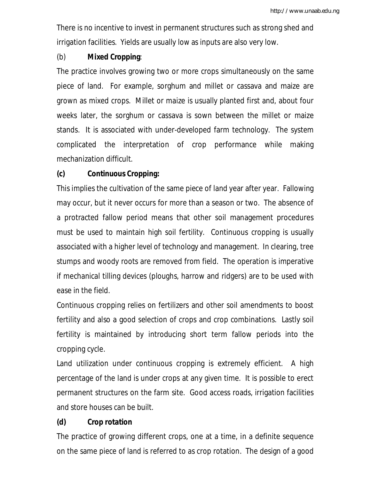There is no incentive to invest in permanent structures such as strong shed and irrigation facilities. Yields are usually low as inputs are also very low.

## (b) **Mixed Cropping**:

The practice involves growing two or more crops simultaneously on the same piece of land. For example, sorghum and millet or cassava and maize are grown as mixed crops. Millet or maize is usually planted first and, about four weeks later, the sorghum or cassava is sown between the millet or maize stands. It is associated with under-developed farm technology. The system complicated the interpretation of crop performance while making mechanization difficult.

## **(c) Continuous Cropping:**

This implies the cultivation of the same piece of land year after year. Fallowing may occur, but it never occurs for more than a season or two. The absence of a protracted fallow period means that other soil management procedures must be used to maintain high soil fertility. Continuous cropping is usually associated with a higher level of technology and management. In clearing, tree stumps and woody roots are removed from field. The operation is imperative if mechanical tilling devices (ploughs, harrow and ridgers) are to be used with ease in the field.

Continuous cropping relies on fertilizers and other soil amendments to boost fertility and also a good selection of crops and crop combinations. Lastly soil fertility is maintained by introducing short term fallow periods into the cropping cycle.

Land utilization under continuous cropping is extremely efficient. A high percentage of the land is under crops at any given time. It is possible to erect permanent structures on the farm site. Good access roads, irrigation facilities and store houses can be built.

# **(d) Crop rotation**

The practice of growing different crops, one at a time, in a definite sequence on the same piece of land is referred to as crop rotation. The design of a good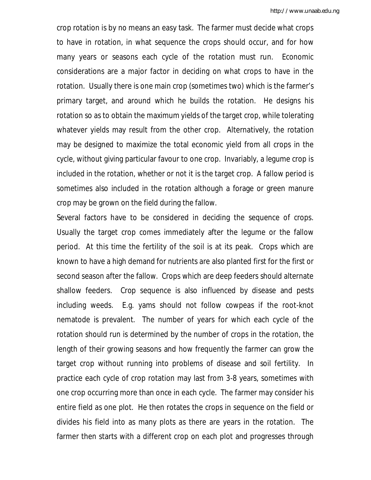crop rotation is by no means an easy task. The farmer must decide what crops to have in rotation, in what sequence the crops should occur, and for how many years or seasons each cycle of the rotation must run. Economic considerations are a major factor in deciding on what crops to have in the rotation. Usually there is one main crop (sometimes two) which is the farmer's primary target, and around which he builds the rotation. He designs his rotation so as to obtain the maximum yields of the target crop, while tolerating whatever yields may result from the other crop. Alternatively, the rotation may be designed to maximize the total economic yield from all crops in the cycle, without giving particular favour to one crop. Invariably, a legume crop is included in the rotation, whether or not it is the target crop. A fallow period is sometimes also included in the rotation although a forage or green manure crop may be grown on the field during the fallow.

Several factors have to be considered in deciding the sequence of crops. Usually the target crop comes immediately after the legume or the fallow period. At this time the fertility of the soil is at its peak. Crops which are known to have a high demand for nutrients are also planted first for the first or second season after the fallow. Crops which are deep feeders should alternate shallow feeders. Crop sequence is also influenced by disease and pests including weeds. E.g. yams should not follow cowpeas if the root-knot nematode is prevalent. The number of years for which each cycle of the rotation should run is determined by the number of crops in the rotation, the length of their growing seasons and how frequently the farmer can grow the target crop without running into problems of disease and soil fertility. In practice each cycle of crop rotation may last from 3-8 years, sometimes with one crop occurring more than once in each cycle. The farmer may consider his entire field as one plot. He then rotates the crops in sequence on the field or divides his field into as many plots as there are years in the rotation. The farmer then starts with a different crop on each plot and progresses through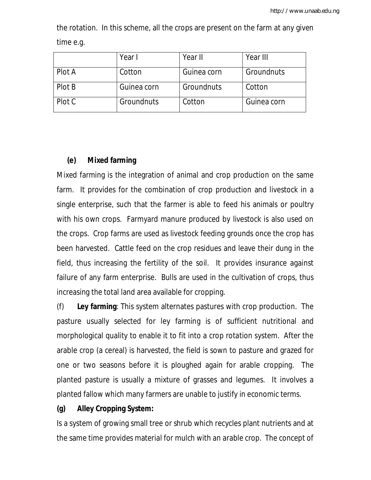|        | Year I      | Year II     | Year III    |
|--------|-------------|-------------|-------------|
| Plot A | Cotton      | Guinea corn | Groundnuts  |
| Plot B | Guinea corn | Groundnuts  | Cotton      |
| Plot C | Groundnuts  | Cotton      | Guinea corn |

the rotation. In this scheme, all the crops are present on the farm at any given time e.g.

### **(e) Mixed farming**

Mixed farming is the integration of animal and crop production on the same farm. It provides for the combination of crop production and livestock in a single enterprise, such that the farmer is able to feed his animals or poultry with his own crops. Farmyard manure produced by livestock is also used on the crops. Crop farms are used as livestock feeding grounds once the crop has been harvested. Cattle feed on the crop residues and leave their dung in the field, thus increasing the fertility of the soil. It provides insurance against failure of any farm enterprise. Bulls are used in the cultivation of crops, thus increasing the total land area available for cropping.

(f) **Ley farming**: This system alternates pastures with crop production. The pasture usually selected for ley farming is of sufficient nutritional and morphological quality to enable it to fit into a crop rotation system. After the arable crop (a cereal) is harvested, the field is sown to pasture and grazed for one or two seasons before it is ploughed again for arable cropping. The planted pasture is usually a mixture of grasses and legumes. It involves a planted fallow which many farmers are unable to justify in economic terms.

### **(g) Alley Cropping System:**

Is a system of growing small tree or shrub which recycles plant nutrients and at the same time provides material for mulch with an arable crop. The concept of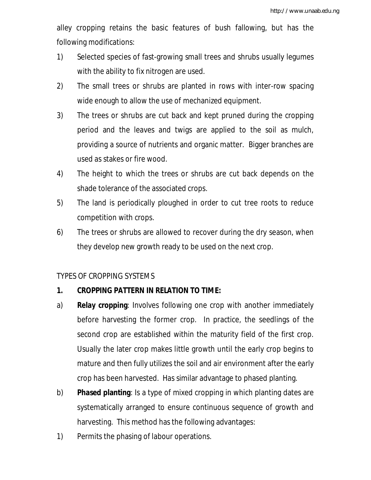alley cropping retains the basic features of bush fallowing, but has the following modifications:

- 1) Selected species of fast-growing small trees and shrubs usually legumes with the ability to fix nitrogen are used.
- 2) The small trees or shrubs are planted in rows with inter-row spacing wide enough to allow the use of mechanized equipment.
- 3) The trees or shrubs are cut back and kept pruned during the cropping period and the leaves and twigs are applied to the soil as mulch, providing a source of nutrients and organic matter. Bigger branches are used as stakes or fire wood.
- 4) The height to which the trees or shrubs are cut back depends on the shade tolerance of the associated crops.
- 5) The land is periodically ploughed in order to cut tree roots to reduce competition with crops.
- 6) The trees or shrubs are allowed to recover during the dry season, when they develop new growth ready to be used on the next crop.

## TYPES OF CROPPING SYSTEMS

# **1. CROPPING PATTERN IN RELATION TO TIME:**

- a) **Relay cropping**: Involves following one crop with another immediately before harvesting the former crop. In practice, the seedlings of the second crop are established within the maturity field of the first crop. Usually the later crop makes little growth until the early crop begins to mature and then fully utilizes the soil and air environment after the early crop has been harvested. Has similar advantage to phased planting.
- b) **Phased planting**: Is a type of mixed cropping in which planting dates are systematically arranged to ensure continuous sequence of growth and harvesting. This method has the following advantages:
- 1) Permits the phasing of labour operations.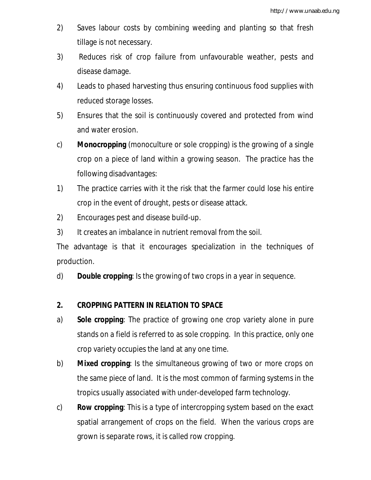- 2) Saves labour costs by combining weeding and planting so that fresh tillage is not necessary.
- 3) Reduces risk of crop failure from unfavourable weather, pests and disease damage.
- 4) Leads to phased harvesting thus ensuring continuous food supplies with reduced storage losses.
- 5) Ensures that the soil is continuously covered and protected from wind and water erosion.
- c) **Monocropping** (monoculture or sole cropping) is the growing of a single crop on a piece of land within a growing season. The practice has the following disadvantages:
- 1) The practice carries with it the risk that the farmer could lose his entire crop in the event of drought, pests or disease attack.
- 2) Encourages pest and disease build-up.
- 3) It creates an imbalance in nutrient removal from the soil.

The advantage is that it encourages specialization in the techniques of production.

d) **Double cropping**: Is the growing of two crops in a year in sequence.

## **2. CROPPING PATTERN IN RELATION TO SPACE**

- a) **Sole cropping**: The practice of growing one crop variety alone in pure stands on a field is referred to as sole cropping. In this practice, only one crop variety occupies the land at any one time.
- b) **Mixed cropping**: Is the simultaneous growing of two or more crops on the same piece of land. It is the most common of farming systems in the tropics usually associated with under-developed farm technology.
- c) **Row cropping**: This is a type of intercropping system based on the exact spatial arrangement of crops on the field. When the various crops are grown is separate rows, it is called row cropping.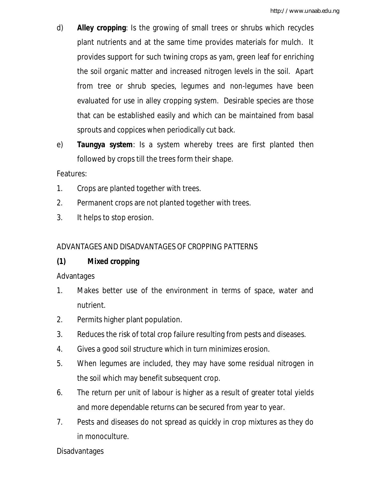- d) **Alley cropping**: Is the growing of small trees or shrubs which recycles plant nutrients and at the same time provides materials for mulch. It provides support for such twining crops as yam, green leaf for enriching the soil organic matter and increased nitrogen levels in the soil. Apart from tree or shrub species, legumes and non-legumes have been evaluated for use in alley cropping system. Desirable species are those that can be established easily and which can be maintained from basal sprouts and coppices when periodically cut back.
- e) **Taungya system**: Is a system whereby trees are first planted then followed by crops till the trees form their shape.

Features:

- 1. Crops are planted together with trees.
- 2. Permanent crops are not planted together with trees.
- 3. It helps to stop erosion.

## ADVANTAGES AND DISADVANTAGES OF CROPPING PATTERNS

# **(1) Mixed cropping**

## Advantages

- 1. Makes better use of the environment in terms of space, water and nutrient.
- 2. Permits higher plant population.
- 3. Reduces the risk of total crop failure resulting from pests and diseases.
- 4. Gives a good soil structure which in turn minimizes erosion.
- 5. When legumes are included, they may have some residual nitrogen in the soil which may benefit subsequent crop.
- 6. The return per unit of labour is higher as a result of greater total yields and more dependable returns can be secured from year to year.
- 7. Pests and diseases do not spread as quickly in crop mixtures as they do in monoculture.

## Disadvantages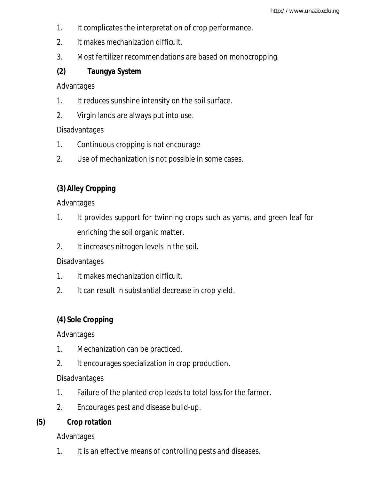- 1. It complicates the interpretation of crop performance.
- 2. It makes mechanization difficult.
- 3. Most fertilizer recommendations are based on monocropping.

# **(2) Taungya System**

Advantages

- 1. It reduces sunshine intensity on the soil surface.
- 2. Virgin lands are always put into use.

## Disadvantages

- 1. Continuous cropping is not encourage
- 2. Use of mechanization is not possible in some cases.

# **(3) Alley Cropping**

Advantages

- 1. It provides support for twinning crops such as yams, and green leaf for enriching the soil organic matter.
- 2. It increases nitrogen levels in the soil.

# Disadvantages

- 1. It makes mechanization difficult.
- 2. It can result in substantial decrease in crop yield.

# **(4) Sole Cropping**

Advantages

- 1. Mechanization can be practiced.
- 2. It encourages specialization in crop production.

# **Disadvantages**

- 1. Failure of the planted crop leads to total loss for the farmer.
- 2. Encourages pest and disease build-up.

**(5) Crop rotation**

Advantages

1. It is an effective means of controlling pests and diseases.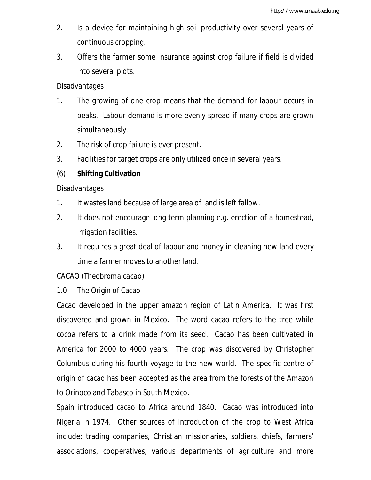- 2. Is a device for maintaining high soil productivity over several years of continuous cropping.
- 3. Offers the farmer some insurance against crop failure if field is divided into several plots.

### **Disadvantages**

- 1. The growing of one crop means that the demand for labour occurs in peaks. Labour demand is more evenly spread if many crops are grown simultaneously.
- 2. The risk of crop failure is ever present.
- 3. Facilities for target crops are only utilized once in several years.

## (6) **Shifting Cultivation**

Disadvantages

- 1. It wastes land because of large area of land is left fallow.
- 2. It does not encourage long term planning e.g. erection of a homestead, irrigation facilities.
- 3. It requires a great deal of labour and money in cleaning new land every time a farmer moves to another land.

## CACAO (*Theobroma cacao*)

1.0 The Origin of Cacao

Cacao developed in the upper amazon region of Latin America. It was first discovered and grown in Mexico. The word cacao refers to the tree while cocoa refers to a drink made from its seed. Cacao has been cultivated in America for 2000 to 4000 years. The crop was discovered by Christopher Columbus during his fourth voyage to the new world. The specific centre of origin of cacao has been accepted as the area from the forests of the Amazon to Orinoco and Tabasco in South Mexico.

Spain introduced cacao to Africa around 1840. Cacao was introduced into Nigeria in 1974. Other sources of introduction of the crop to West Africa include: trading companies, Christian missionaries, soldiers, chiefs, farmers' associations, cooperatives, various departments of agriculture and more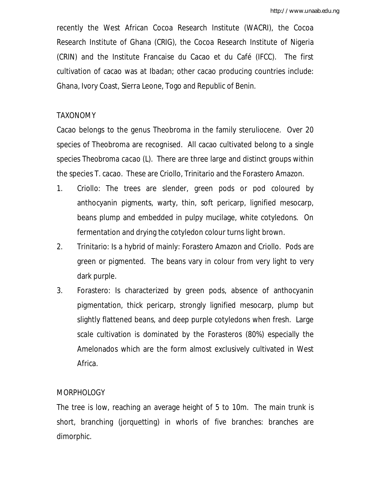recently the West African Cocoa Research Institute (WACRI), the Cocoa Research Institute of Ghana (CRIG), the Cocoa Research Institute of Nigeria (CRIN) and the Institute Francaise du Cacao et du Café (IFCC). The first cultivation of cacao was at Ibadan; other cacao producing countries include: Ghana, Ivory Coast, Sierra Leone, Togo and Republic of Benin.

## TAXONOMY

Cacao belongs to the genus Theobroma in the family steruliocene. Over 20 species of Theobroma are recognised. All cacao cultivated belong to a single species *Theobroma cacao* (L). There are three large and distinct groups within the species T. cacao. These are Criollo, Trinitario and the Forastero Amazon.

- 1. Criollo: The trees are slender, green pods or pod coloured by anthocyanin pigments, warty, thin, soft pericarp, lignified mesocarp, beans plump and embedded in pulpy mucilage, white cotyledons. On fermentation and drying the cotyledon colour turns light brown.
- 2. Trinitario: Is a hybrid of mainly: Forastero Amazon and Criollo. Pods are green or pigmented. The beans vary in colour from very light to very dark purple.
- 3. Forastero: Is characterized by green pods, absence of anthocyanin pigmentation, thick pericarp, strongly lignified mesocarp, plump but slightly flattened beans, and deep purple cotyledons when fresh. Large scale cultivation is dominated by the Forasteros (80%) especially the Amelonados which are the form almost exclusively cultivated in West Africa.

## MORPHOLOGY

The tree is low, reaching an average height of 5 to 10m. The main trunk is short, branching (jorquetting) in whorls of five branches: branches are dimorphic.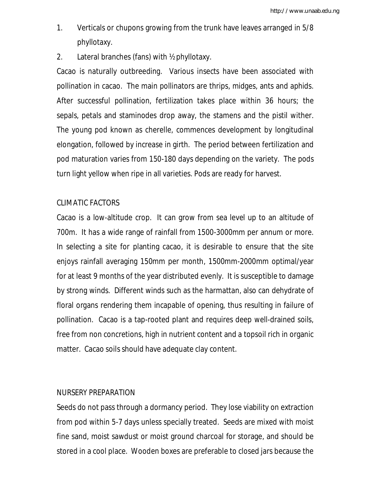- 1. Verticals or chupons growing from the trunk have leaves arranged in 5/8 phyllotaxy.
- 2. Lateral branches (fans) with ½ phyllotaxy.

Cacao is naturally outbreeding. Various insects have been associated with pollination in cacao. The main pollinators are thrips, midges, ants and aphids. After successful pollination, fertilization takes place within 36 hours; the sepals, petals and staminodes drop away, the stamens and the pistil wither. The young pod known as cherelle, commences development by longitudinal elongation, followed by increase in girth. The period between fertilization and pod maturation varies from 150-180 days depending on the variety. The pods turn light yellow when ripe in all varieties. Pods are ready for harvest.

## CLIMATIC FACTORS

Cacao is a low-altitude crop. It can grow from sea level up to an altitude of 700m. It has a wide range of rainfall from 1500-3000mm per annum or more. In selecting a site for planting cacao, it is desirable to ensure that the site enjoys rainfall averaging 150mm per month, 1500mm-2000mm optimal/year for at least 9 months of the year distributed evenly. It is susceptible to damage by strong winds. Different winds such as the harmattan, also can dehydrate of floral organs rendering them incapable of opening, thus resulting in failure of pollination. Cacao is a tap-rooted plant and requires deep well-drained soils, free from non concretions, high in nutrient content and a topsoil rich in organic matter. Cacao soils should have adequate clay content.

## NURSERY PREPARATION

Seeds do not pass through a dormancy period. They lose viability on extraction from pod within 5-7 days unless specially treated. Seeds are mixed with moist fine sand, moist sawdust or moist ground charcoal for storage, and should be stored in a cool place. Wooden boxes are preferable to closed jars because the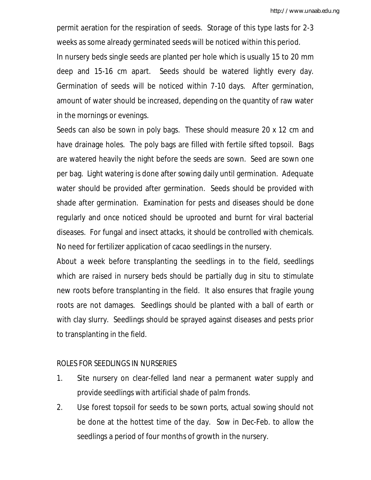permit aeration for the respiration of seeds. Storage of this type lasts for 2-3 weeks as some already germinated seeds will be noticed within this period. In nursery beds single seeds are planted per hole which is usually 15 to 20 mm deep and 15-16 cm apart. Seeds should be watered lightly every day. Germination of seeds will be noticed within 7-10 days. After germination, amount of water should be increased, depending on the quantity of raw water in the mornings or evenings.

Seeds can also be sown in poly bags. These should measure 20 x 12 cm and have drainage holes. The poly bags are filled with fertile sifted topsoil. Bags are watered heavily the night before the seeds are sown. Seed are sown one per bag. Light watering is done after sowing daily until germination. Adequate water should be provided after germination. Seeds should be provided with shade after germination. Examination for pests and diseases should be done regularly and once noticed should be uprooted and burnt for viral bacterial diseases. For fungal and insect attacks, it should be controlled with chemicals. No need for fertilizer application of cacao seedlings in the nursery.

About a week before transplanting the seedlings in to the field, seedlings which are raised in nursery beds should be partially dug in situ to stimulate new roots before transplanting in the field. It also ensures that fragile young roots are not damages. Seedlings should be planted with a ball of earth or with clay slurry. Seedlings should be sprayed against diseases and pests prior to transplanting in the field.

### ROLES FOR SEEDLINGS IN NURSERIES

- 1. Site nursery on clear-felled land near a permanent water supply and provide seedlings with artificial shade of palm fronds.
- 2. Use forest topsoil for seeds to be sown ports, actual sowing should not be done at the hottest time of the day. Sow in Dec-Feb. to allow the seedlings a period of four months of growth in the nursery.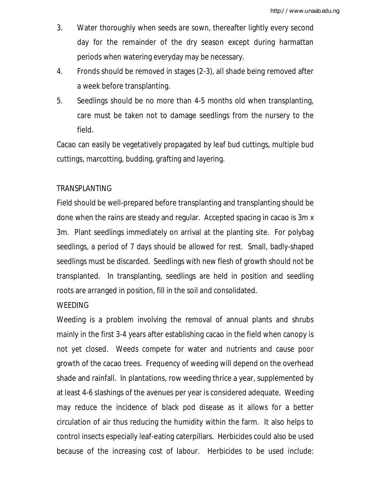- 3. Water thoroughly when seeds are sown, thereafter lightly every second day for the remainder of the dry season except during harmattan periods when watering everyday may be necessary.
- 4. Fronds should be removed in stages (2-3), all shade being removed after a week before transplanting.
- 5. Seedlings should be no more than 4-5 months old when transplanting, care must be taken not to damage seedlings from the nursery to the field.

Cacao can easily be vegetatively propagated by leaf bud cuttings, multiple bud cuttings, marcotting, budding, grafting and layering.

## TRANSPLANTING

Field should be well-prepared before transplanting and transplanting should be done when the rains are steady and regular. Accepted spacing in cacao is 3m x 3m. Plant seedlings immediately on arrival at the planting site. For polybag seedlings, a period of 7 days should be allowed for rest. Small, badly-shaped seedlings must be discarded. Seedlings with new flesh of growth should not be transplanted. In transplanting, seedlings are held in position and seedling roots are arranged in position, fill in the soil and consolidated.

## **WEEDING**

Weeding is a problem involving the removal of annual plants and shrubs mainly in the first 3-4 years after establishing cacao in the field when canopy is not yet closed. Weeds compete for water and nutrients and cause poor growth of the cacao trees. Frequency of weeding will depend on the overhead shade and rainfall. In plantations, row weeding thrice a year, supplemented by at least 4-6 slashings of the avenues per year is considered adequate. Weeding may reduce the incidence of black pod disease as it allows for a better circulation of air thus reducing the humidity within the farm. It also helps to control insects especially leaf-eating caterpillars. Herbicides could also be used because of the increasing cost of labour. Herbicides to be used include: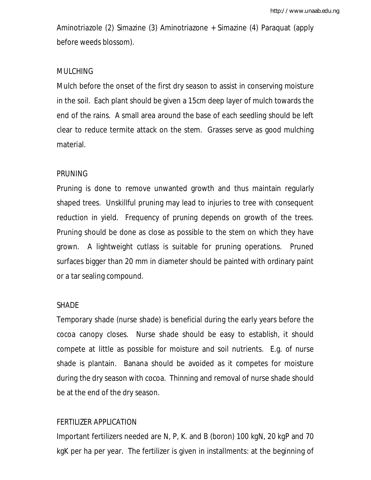Aminotriazole (2) Simazine (3) Aminotriazone + Simazine (4) Paraquat (apply before weeds blossom).

### MULCHING

Mulch before the onset of the first dry season to assist in conserving moisture in the soil. Each plant should be given a 15cm deep layer of mulch towards the end of the rains. A small area around the base of each seedling should be left clear to reduce termite attack on the stem. Grasses serve as good mulching material.

### PRUNING

Pruning is done to remove unwanted growth and thus maintain regularly shaped trees. Unskillful pruning may lead to injuries to tree with consequent reduction in yield. Frequency of pruning depends on growth of the trees. Pruning should be done as close as possible to the stem on which they have grown. A lightweight cutlass is suitable for pruning operations. Pruned surfaces bigger than 20 mm in diameter should be painted with ordinary paint or a tar sealing compound.

### SHADE

Temporary shade (nurse shade) is beneficial during the early years before the cocoa canopy closes. Nurse shade should be easy to establish, it should compete at little as possible for moisture and soil nutrients. E.g. of nurse shade is plantain. Banana should be avoided as it competes for moisture during the dry season with cocoa. Thinning and removal of nurse shade should be at the end of the dry season.

### FERTILIZER APPLICATION

Important fertilizers needed are N, P, K. and B (boron) 100 kgN, 20 kgP and 70 kgK per ha per year. The fertilizer is given in installments: at the beginning of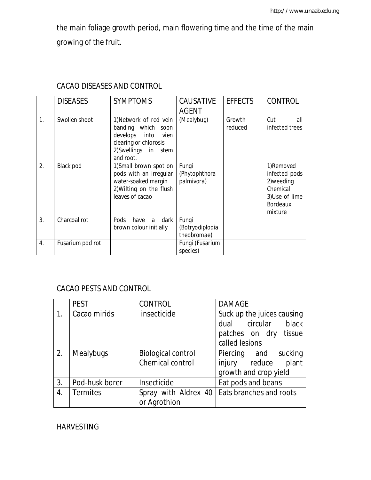the main foliage growth period, main flowering time and the time of the main growing of the fruit.

|                  | <b>DISEASES</b>  | <b>SYMPTOMS</b>                                                                                                                    | <b>CAUSATIVE</b><br><b>AGENT</b>        | <b>EFFECTS</b>    | <b>CONTROL</b>                                                                                      |
|------------------|------------------|------------------------------------------------------------------------------------------------------------------------------------|-----------------------------------------|-------------------|-----------------------------------------------------------------------------------------------------|
| $\mathbf{1}$ .   | Swollen shoot    | 1) Network of red vein<br>banding which soon<br>develops into<br>vien<br>clearing or chlorosis<br>2)Swellings in stem<br>and root. | (Mealybug)                              | Growth<br>reduced | Cut<br>all<br>infected trees                                                                        |
| 2.               | Black pod        | 1) Small brown spot on<br>pods with an irregular<br>water-soaked margin<br>2) Wilting on the flush<br>leaves of cacao              | Fungi<br>(Phytophthora<br>palmivora)    |                   | 1)Removed<br>infected pods<br>2) weeding<br>Chemical<br>3)Use of lime<br><b>Bordeaux</b><br>mixture |
| $\overline{3}$ . | Charcoal rot     | <b>Pods</b><br>dark<br>have<br>a<br>brown colour initially                                                                         | Fungi<br>(Botryodiplodia<br>theobromae) |                   |                                                                                                     |
| 4.               | Fusarium pod rot |                                                                                                                                    | Fungi (Fusarium<br>species)             |                   |                                                                                                     |

# CACAO DISEASES AND CONTROL

# CACAO PESTS AND CONTROL

|    | <b>PEST</b>      | CONTROL                                       | <b>DAMAGE</b>                                                                                      |
|----|------------------|-----------------------------------------------|----------------------------------------------------------------------------------------------------|
|    | Cacao mirids     | insecticide                                   | Suck up the juices causing<br>black<br>dual circular<br>patches on dry<br>tissue<br>called lesions |
| 2. | <b>Mealybugs</b> | <b>Biological control</b><br>Chemical control | Piercing and<br>sucking<br>plant<br>injury reduce<br>growth and crop yield                         |
| 3. | Pod-husk borer   | Insecticide                                   | Eat pods and beans                                                                                 |
| 4. | <b>Termites</b>  | or Agrothion                                  | Spray with Aldrex 40   Eats branches and roots                                                     |

## HARVESTING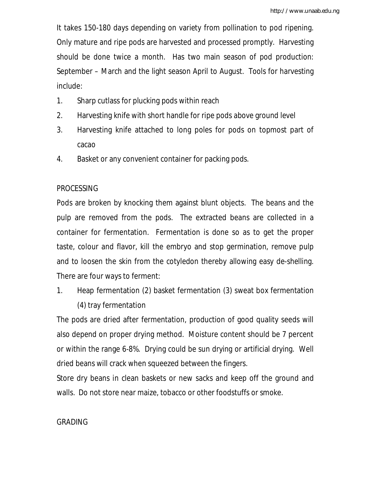It takes 150-180 days depending on variety from pollination to pod ripening. Only mature and ripe pods are harvested and processed promptly. Harvesting should be done twice a month. Has two main season of pod production: September – March and the light season April to August. Tools for harvesting include:

- 1. Sharp cutlass for plucking pods within reach
- 2. Harvesting knife with short handle for ripe pods above ground level
- 3. Harvesting knife attached to long poles for pods on topmost part of cacao
- 4. Basket or any convenient container for packing pods.

## PROCESSING

Pods are broken by knocking them against blunt objects. The beans and the pulp are removed from the pods. The extracted beans are collected in a container for fermentation. Fermentation is done so as to get the proper taste, colour and flavor, kill the embryo and stop germination, remove pulp and to loosen the skin from the cotyledon thereby allowing easy de-shelling. There are four ways to ferment:

1. Heap fermentation (2) basket fermentation (3) sweat box fermentation (4) tray fermentation

The pods are dried after fermentation, production of good quality seeds will also depend on proper drying method. Moisture content should be 7 percent or within the range 6-8%. Drying could be sun drying or artificial drying. Well dried beans will crack when squeezed between the fingers.

Store dry beans in clean baskets or new sacks and keep off the ground and walls. Do not store near maize, tobacco or other foodstuffs or smoke.

## GRADING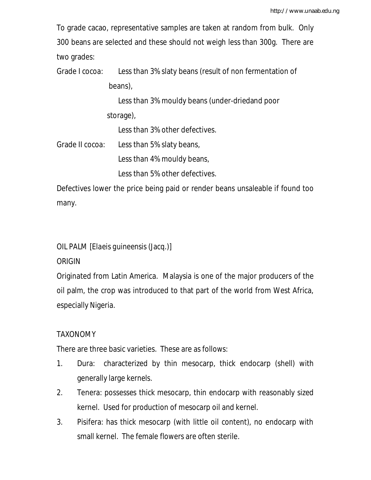To grade cacao, representative samples are taken at random from bulk. Only 300 beans are selected and these should not weigh less than 300g. There are two grades:

Grade I cocoa: Less than 3% slaty beans (result of non fermentation of beans),

> Less than 3% mouldy beans (under-driedand poor storage),

Less than 3% other defectives.

Grade II cocoa: Less than 5% slaty beans,

Less than 4% mouldy beans,

Less than 5% other defectives.

Defectives lower the price being paid or render beans unsaleable if found too many.

OIL PALM [*Elaeis guineensis* (Jacq.)]

**ORIGIN** 

Originated from Latin America. Malaysia is one of the major producers of the oil palm, the crop was introduced to that part of the world from West Africa, especially Nigeria.

## TAXONOMY

There are three basic varieties. These are as follows:

- 1. Dura: characterized by thin mesocarp, thick endocarp (shell) with generally large kernels.
- 2. Tenera: possesses thick mesocarp, thin endocarp with reasonably sized kernel. Used for production of mesocarp oil and kernel.
- 3. Pisifera: has thick mesocarp (with little oil content), no endocarp with small kernel. The female flowers are often sterile.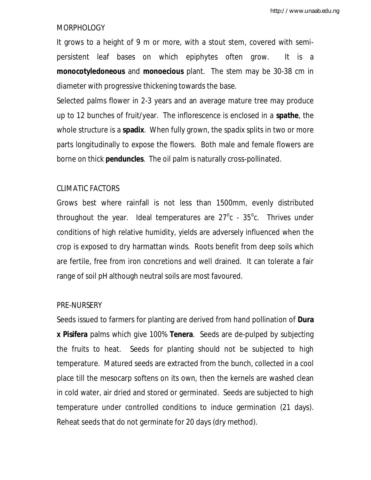### MORPHOLOGY

It grows to a height of 9 m or more, with a stout stem, covered with semipersistent leaf bases on which epiphytes often grow. It is a **monocotyledoneous** and **monoecious** plant. The stem may be 30-38 cm in diameter with progressive thickening towards the base.

Selected palms flower in 2-3 years and an average mature tree may produce up to 12 bunches of fruit/year. The inflorescence is enclosed in a **spathe**, the whole structure is a **spadix**. When fully grown, the spadix splits in two or more parts longitudinally to expose the flowers. Both male and female flowers are borne on thick **penduncles**. The oil palm is naturally cross-pollinated.

#### CLIMATIC FACTORS

Grows best where rainfall is not less than 1500mm, evenly distributed throughout the year. Ideal temperatures are  $27^{\circ}$ c -  $35^{\circ}$ c. Thrives under conditions of high relative humidity, yields are adversely influenced when the crop is exposed to dry harmattan winds. Roots benefit from deep soils which are fertile, free from iron concretions and well drained. It can tolerate a fair range of soil pH although neutral soils are most favoured.

#### PRE-NURSERY

Seeds issued to farmers for planting are derived from hand pollination of **Dura x Pisifera** palms which give 100% **Tenera**. Seeds are de-pulped by subjecting the fruits to heat. Seeds for planting should not be subjected to high temperature. Matured seeds are extracted from the bunch, collected in a cool place till the mesocarp softens on its own, then the kernels are washed clean in cold water, air dried and stored or germinated. Seeds are subjected to high temperature under controlled conditions to induce germination (21 days). Reheat seeds that do not germinate for 20 days (dry method).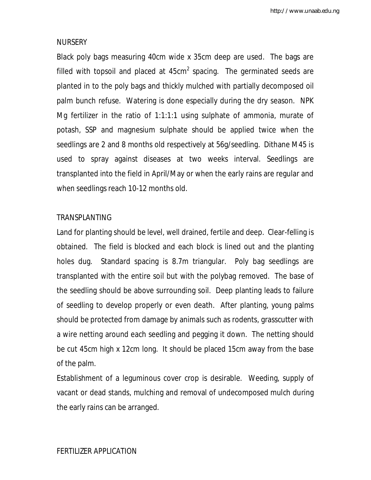### NURSERY

Black poly bags measuring 40cm wide x 35cm deep are used. The bags are filled with topsoil and placed at  $45cm^2$  spacing. The germinated seeds are planted in to the poly bags and thickly mulched with partially decomposed oil palm bunch refuse. Watering is done especially during the dry season. NPK Mg fertilizer in the ratio of 1:1:1:1 using sulphate of ammonia, murate of potash, SSP and magnesium sulphate should be applied twice when the seedlings are 2 and 8 months old respectively at 56g/seedling. Dithane M45 is used to spray against diseases at two weeks interval. Seedlings are transplanted into the field in April/May or when the early rains are regular and when seedlings reach 10-12 months old.

### TRANSPLANTING

Land for planting should be level, well drained, fertile and deep. Clear-felling is obtained. The field is blocked and each block is lined out and the planting holes dug. Standard spacing is 8.7m triangular. Poly bag seedlings are transplanted with the entire soil but with the polybag removed. The base of the seedling should be above surrounding soil. Deep planting leads to failure of seedling to develop properly or even death. After planting, young palms should be protected from damage by animals such as rodents, grasscutter with a wire netting around each seedling and pegging it down. The netting should be cut 45cm high x 12cm long. It should be placed 15cm away from the base of the palm.

Establishment of a leguminous cover crop is desirable. Weeding, supply of vacant or dead stands, mulching and removal of undecomposed mulch during the early rains can be arranged.

## FERTILIZER APPLICATION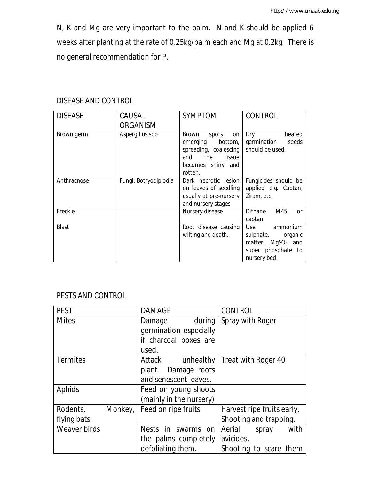N, K and Mg are very important to the palm. N and K should be applied 6 weeks after planting at the rate of 0.25kg/palm each and Mg at 0.2kg. There is no general recommendation for P.

| <b>DISEASE</b> | CAUSAL<br><b>ORGANISM</b> | <b>SYMPTOM</b>                                                                                                            | <b>CONTROL</b>                                                                                                 |
|----------------|---------------------------|---------------------------------------------------------------------------------------------------------------------------|----------------------------------------------------------------------------------------------------------------|
| Brown germ     | Aspergillus spp           | Brown<br>spots<br>on<br>emerging bottom,<br>spreading, coalescing<br>the<br>tissue<br>and<br>becomes shiny and<br>rotten. | Dry<br>heated<br>germination<br>seeds<br>should be used.                                                       |
| Anthracnose    | Fungi: Botryodiplodia     | Dark necrotic lesion<br>on leaves of seedling<br>usually at pre-nursery<br>and nursery stages                             | Fungicides should be<br>applied e.g. Captan,<br>Ziram, etc.                                                    |
| Freckle        |                           | Nursery disease                                                                                                           | M45<br>Dithane<br><sub>or</sub><br>captan                                                                      |
| <b>Blast</b>   |                           | Root disease causing<br>wilting and death.                                                                                | Use<br>ammonium<br>sulphate,<br>organic<br>matter, MgSO <sub>4</sub> and<br>super phosphate to<br>nursery bed. |

## DISEASE AND CONTROL

## PESTS AND CONTROL

| <b>PEST</b>     |         | <b>DAMAGE</b>         |                         | <b>CONTROL</b>             |                        |      |
|-----------------|---------|-----------------------|-------------------------|----------------------------|------------------------|------|
| <b>Mites</b>    |         | Damage                | during                  | Spray with Roger           |                        |      |
|                 |         |                       | germination especially  |                            |                        |      |
|                 |         |                       | if charcoal boxes are   |                            |                        |      |
|                 |         | used.                 |                         |                            |                        |      |
| <b>Termites</b> |         | Attack                | unhealthy               | Treat with Roger 40        |                        |      |
|                 |         | plant.                | Damage roots            |                            |                        |      |
|                 |         | and senescent leaves. |                         |                            |                        |      |
| Aphids          |         |                       | Feed on young shoots    |                            |                        |      |
|                 |         |                       | (mainly in the nursery) |                            |                        |      |
| Rodents,        | Monkey, | Feed on ripe fruits   |                         | Harvest ripe fruits early, |                        |      |
| flying bats     |         |                       |                         |                            | Shooting and trapping. |      |
| Weaver birds    |         |                       | Nests in swarms on      | Aerial                     | spray                  | with |
|                 |         |                       | the palms completely    | avicides,                  |                        |      |
|                 |         | defoliating them.     |                         |                            | Shooting to scare them |      |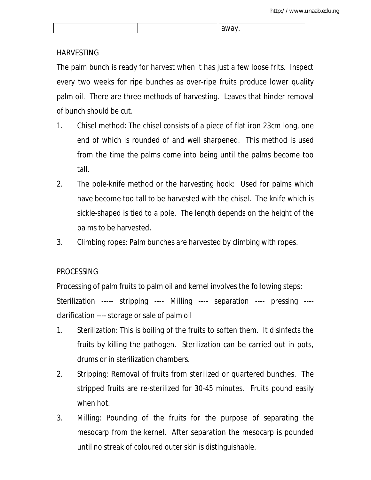|  | M |
|--|---|
|  |   |

## HARVESTING

The palm bunch is ready for harvest when it has just a few loose frits. Inspect every two weeks for ripe bunches as over-ripe fruits produce lower quality palm oil. There are three methods of harvesting. Leaves that hinder removal of bunch should be cut.

- 1. Chisel method: The chisel consists of a piece of flat iron 23cm long, one end of which is rounded of and well sharpened. This method is used from the time the palms come into being until the palms become too tall.
- 2. The pole-knife method or the harvesting hook: Used for palms which have become too tall to be harvested with the chisel. The knife which is sickle-shaped is tied to a pole. The length depends on the height of the palms to be harvested.
- 3. Climbing ropes: Palm bunches are harvested by climbing with ropes.

## PROCESSING

Processing of palm fruits to palm oil and kernel involves the following steps: Sterilization ----- stripping ---- Milling ---- separation ---- pressing --- clarification ---- storage or sale of palm oil

- 1. Sterilization: This is boiling of the fruits to soften them. It disinfects the fruits by killing the pathogen. Sterilization can be carried out in pots, drums or in sterilization chambers.
- 2. Stripping: Removal of fruits from sterilized or quartered bunches. The stripped fruits are re-sterilized for 30-45 minutes. Fruits pound easily when hot.
- 3. Milling: Pounding of the fruits for the purpose of separating the mesocarp from the kernel. After separation the mesocarp is pounded until no streak of coloured outer skin is distinguishable.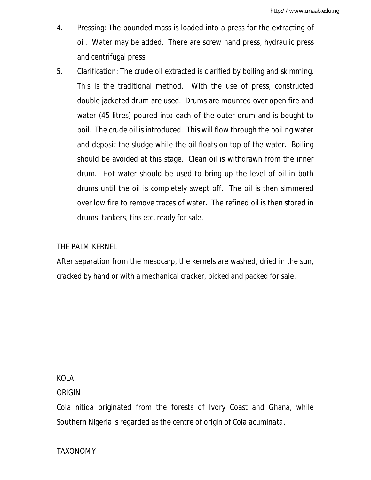- 4. Pressing: The pounded mass is loaded into a press for the extracting of oil. Water may be added. There are screw hand press, hydraulic press and centrifugal press.
- 5. Clarification: The crude oil extracted is clarified by boiling and skimming. This is the traditional method. With the use of press, constructed double jacketed drum are used. Drums are mounted over open fire and water (45 litres) poured into each of the outer drum and is bought to boil. The crude oil is introduced. This will flow through the boiling water and deposit the sludge while the oil floats on top of the water. Boiling should be avoided at this stage. Clean oil is withdrawn from the inner drum. Hot water should be used to bring up the level of oil in both drums until the oil is completely swept off. The oil is then simmered over low fire to remove traces of water. The refined oil is then stored in drums, tankers, tins etc. ready for sale.

## THE PALM KERNEL

After separation from the mesocarp, the kernels are washed, dried in the sun, cracked by hand or with a mechanical cracker, picked and packed for sale.

### KOLA

### ORIGIN

*Cola nitida* originated from the forests of Ivory Coast and Ghana, while Southern Nigeria is regarded as the centre of origin of *Cola acuminata.*

## TAXONOMY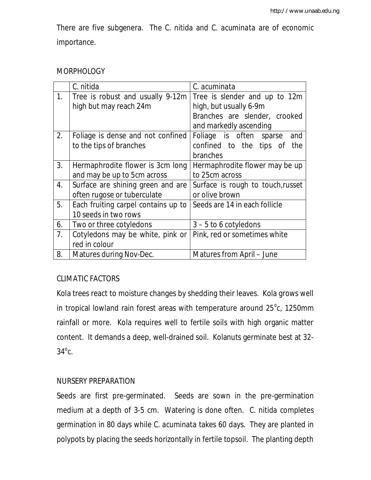There are five subgenera. The *C. nitida* and *C. acuminata* are of economic importance.

## **MORPHOLOGY**

|                | C. nitida                           | C. acuminata                      |
|----------------|-------------------------------------|-----------------------------------|
| 1.             | Tree is robust and usually 9-12m    | Tree is slender and up to 12m     |
|                | high but may reach 24m              | high, but usually 6-9m            |
|                |                                     | Branches are slender, crooked     |
|                |                                     | and markedly ascending            |
| 2.             | Foliage is dense and not confined   | Foliage is often sparse<br>and    |
|                | to the tips of branches             | confined to the tips of<br>the    |
|                |                                     | branches                          |
| 3.             | Hermaphrodite flower is 3cm long    | Hermaphrodite flower may be up    |
|                | and may be up to 5cm across         | to 25cm across                    |
| 4.             | Surface are shining green and are   | Surface is rough to touch, russet |
|                | often rugose or tuberculate         | or olive brown                    |
| 5.             | Each fruiting carpel contains up to | Seeds are 14 in each follicle     |
|                | 10 seeds in two rows                |                                   |
| 6.             | Two or three cotyledons             | $3 - 5$ to 6 cotyledons           |
| 7 <sub>1</sub> | Cotyledons may be white, pink or    | Pink, red or sometimes white      |
|                | red in colour                       |                                   |
| 8.             | Matures during Nov-Dec.             | Matures from April – June         |

## CLIMATIC FACTORS

Kola trees react to moisture changes by shedding their leaves. Kola grows well in tropical lowland rain forest areas with temperature around  $25^{\circ}$ c, 1250mm rainfall or more. Kola requires well to fertile soils with high organic matter content. It demands a deep, well-drained soil. Kolanuts germinate best at 32-  $34^{\circ}$ c.

## NURSERY PREPARATION

Seeds are first pre-germinated. Seeds are sown in the pre-germination medium at a depth of 3-5 cm. Watering is done often. *C. nitida* completes germination in 80 days while *C. acuminata* takes 60 days. They are planted in polypots by placing the seeds horizontally in fertile topsoil. The planting depth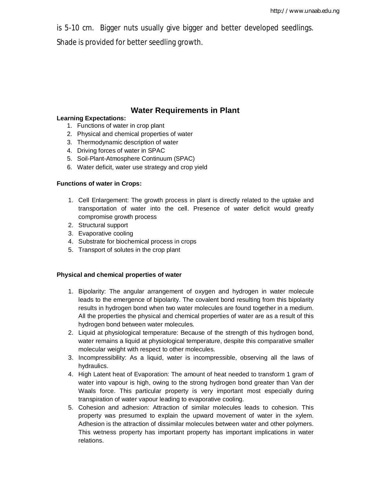is 5-10 cm. Bigger nuts usually give bigger and better developed seedlings.

Shade is provided for better seedling growth.

## **Water Requirements in Plant**

### **Learning Expectations:**

- 1. Functions of water in crop plant
- 2. Physical and chemical properties of water
- 3. Thermodynamic description of water
- 4. Driving forces of water in SPAC
- 5. Soil-Plant-Atmosphere Continuum (SPAC)
- 6. Water deficit, water use strategy and crop yield

### **Functions of water in Crops:**

- 1. Cell Enlargement: The growth process in plant is directly related to the uptake and transportation of water into the cell. Presence of water deficit would greatly compromise growth process
- 2. Structural support
- 3. Evaporative cooling
- 4. Substrate for biochemical process in crops
- 5. Transport of solutes in the crop plant

### **Physical and chemical properties of water**

- 1. Bipolarity: The angular arrangement of oxygen and hydrogen in water molecule leads to the emergence of bipolarity. The covalent bond resulting from this bipolarity results in hydrogen bond when two water molecules are found together in a medium. All the properties the physical and chemical properties of water are as a result of this hydrogen bond between water molecules.
- 2. Liquid at physiological temperature: Because of the strength of this hydrogen bond, water remains a liquid at physiological temperature, despite this comparative smaller molecular weight with respect to other molecules.
- 3. Incompressibility: As a liquid, water is incompressible, observing all the laws of hydraulics.
- 4. High Latent heat of Evaporation: The amount of heat needed to transform 1 gram of water into vapour is high, owing to the strong hydrogen bond greater than Van der Waals force. This particular property is very important most especially during transpiration of water vapour leading to evaporative cooling.
- 5. Cohesion and adhesion: Attraction of similar molecules leads to cohesion. This property was presumed to explain the upward movement of water in the xylem. Adhesion is the attraction of dissimilar molecules between water and other polymers. This wetness property has important property has important implications in water relations.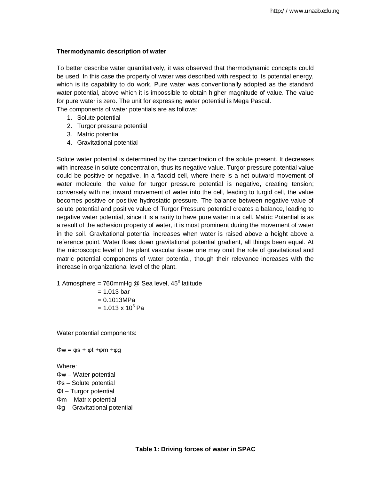#### **Thermodynamic description of water**

To better describe water quantitatively, it was observed that thermodynamic concepts could be used. In this case the property of water was described with respect to its potential energy, which is its capability to do work. Pure water was conventionally adopted as the standard water potential, above which it is impossible to obtain higher magnitude of value. The value for pure water is zero. The unit for expressing water potential is Mega Pascal.

The components of water potentials are as follows:

- 1. Solute potential
- 2. Turgor pressure potential
- 3. Matric potential
- 4. Gravitational potential

Solute water potential is determined by the concentration of the solute present. It decreases with increase in solute concentration, thus its negative value. Turgor pressure potential value could be positive or negative. In a flaccid cell, where there is a net outward movement of water molecule, the value for turgor pressure potential is negative, creating tension; conversely with net inward movement of water into the cell, leading to turgid cell, the value becomes positive or positive hydrostatic pressure. The balance between negative value of solute potential and positive value of Turgor Pressure potential creates a balance, leading to negative water potential, since it is a rarity to have pure water in a cell. Matric Potential is as a result of the adhesion property of water, it is most prominent during the movement of water in the soil. Gravitational potential increases when water is raised above a height above a reference point. Water flows down gravitational potential gradient, all things been equal. At the microscopic level of the plant vascular tissue one may omit the role of gravitational and matric potential components of water potential, though their relevance increases with the increase in organizational level of the plant.

1 Atmosphere = 760mmHg @ Sea level,  $45^{\circ}$  latitude

 $= 1.013$  bar  $= 0.1013 MPa$  $= 1.013 \times 10^5$  Pa

Water potential components:

Φw = φs + φt +φm +φg

Where:

Φw – Water potential Φs – Solute potential Φt – Turgor potential Φm – Matrix potential Φg – Gravitational potential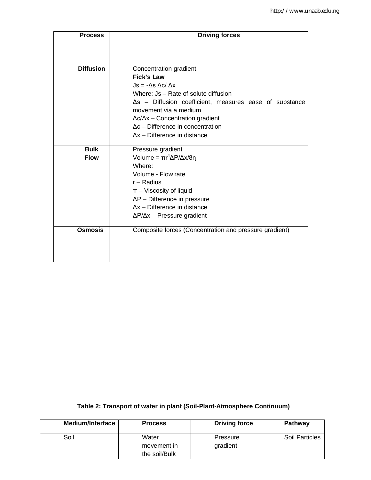| <b>Process</b>   | <b>Driving forces</b>                                          |  |  |
|------------------|----------------------------------------------------------------|--|--|
|                  |                                                                |  |  |
|                  |                                                                |  |  |
| <b>Diffusion</b> | Concentration gradient                                         |  |  |
|                  | Fick's Law                                                     |  |  |
|                  | $Js = -\Delta s \Delta c / \Delta x$                           |  |  |
|                  | Where; Js - Rate of solute diffusion                           |  |  |
|                  | $\Delta s$ – Diffusion coefficient, measures ease of substance |  |  |
|                  | movement via a medium                                          |  |  |
|                  | $\Delta c/\Delta x$ – Concentration gradient                   |  |  |
|                  | $\Delta c$ – Difference in concentration                       |  |  |
|                  | $\Delta x$ – Difference in distance                            |  |  |
| <b>Bulk</b>      | Pressure gradient                                              |  |  |
| <b>Flow</b>      | Volume = $\pi r^4 \Delta P / \Delta x / 8 \eta$                |  |  |
|                  | Where:                                                         |  |  |
|                  | Volume - Flow rate                                             |  |  |
|                  | $r -$ Radius                                                   |  |  |
|                  | $\pi$ – Viscosity of liquid                                    |  |  |
|                  | $\Delta P$ – Difference in pressure                            |  |  |
|                  | $\Delta x$ – Difference in distance                            |  |  |
|                  | $\Delta P/\Delta x$ – Pressure gradient                        |  |  |
| <b>Osmosis</b>   | Composite forces (Concentration and pressure gradient)         |  |  |
|                  |                                                                |  |  |
|                  |                                                                |  |  |
|                  |                                                                |  |  |

### **Table 2: Transport of water in plant (Soil-Plant-Atmosphere Continuum)**

| Medium/Interface | <b>Process</b>                        | <b>Driving force</b> | <b>Pathway</b> |
|------------------|---------------------------------------|----------------------|----------------|
| Soil             | Water<br>movement in<br>the soil/Bulk | Pressure<br>gradient | Soil Particles |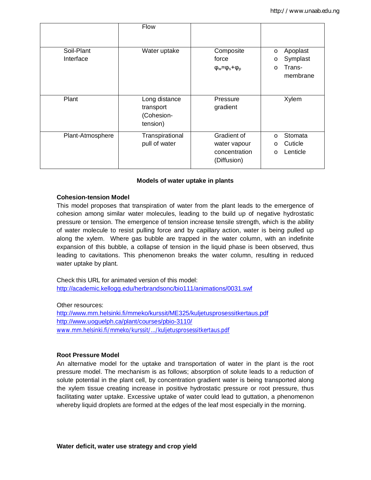|                  | Flow                                                 |                                     |                     |
|------------------|------------------------------------------------------|-------------------------------------|---------------------|
| Soil-Plant       | Water uptake                                         | Composite                           | Apoplast<br>$\circ$ |
| Interface        |                                                      | force                               | Symplast<br>O       |
|                  |                                                      | $\varphi_w = \varphi_s + \varphi_p$ | Trans-<br>$\circ$   |
|                  |                                                      |                                     | membrane            |
|                  |                                                      |                                     |                     |
| Plant            | Long distance<br>transport<br>(Cohesion-<br>tension) | Pressure<br>gradient                | Xylem               |
| Plant-Atmosphere | Transpirational                                      | Gradient of                         | Stomata<br>$\circ$  |
|                  | pull of water                                        | water vapour                        | Cuticle<br>$\circ$  |
|                  |                                                      | concentration                       | Lenticle<br>$\circ$ |
|                  |                                                      | (Diffusion)                         |                     |

#### **Models of water uptake in plants**

#### **Cohesion-tension Model**

This model proposes that transpiration of water from the plant leads to the emergence of cohesion among similar water molecules, leading to the build up of negative hydrostatic pressure or tension. The emergence of tension increase tensile strength, which is the ability of water molecule to resist pulling force and by capillary action, water is being pulled up along the xylem. Where gas bubble are trapped in the water column, with an indefinite expansion of this bubble, a collapse of tension in the liquid phase is been observed, thus leading to cavitations. This phenomenon breaks the water column, resulting in reduced water uptake by plant.

Check this URL for animated version of this model: http://academic.kellogg.edu/herbrandsonc/bio111/animations/0031.swf

Other resources:

http://www.mm.helsinki.fi/mmeko/kurssit/ME325/kuljetusprosessitkertaus.pdf http://www.uoguelph.ca/plant/courses/pbio-3110/ www.mm.helsinki.fi/mmeko/kurssit/.../kuljetusprosessitkertaus.pdf

#### **Root Pressure Model**

An alternative model for the uptake and transportation of water in the plant is the root pressure model. The mechanism is as follows; absorption of solute leads to a reduction of solute potential in the plant cell, by concentration gradient water is being transported along the xylem tissue creating increase in positive hydrostatic pressure or root pressure, thus facilitating water uptake. Excessive uptake of water could lead to guttation, a phenomenon whereby liquid droplets are formed at the edges of the leaf most especially in the morning.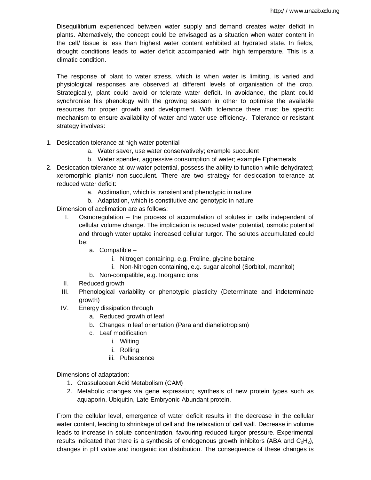Disequilibrium experienced between water supply and demand creates water deficit in plants. Alternatively, the concept could be envisaged as a situation when water content in the cell/ tissue is less than highest water content exhibited at hydrated state. In fields, drought conditions leads to water deficit accompanied with high temperature. This is a climatic condition.

The response of plant to water stress, which is when water is limiting, is varied and physiological responses are observed at different levels of organisation of the crop. Strategically, plant could avoid or tolerate water deficit. In avoidance, the plant could synchronise his phenology with the growing season in other to optimise the available resources for proper growth and development. With tolerance there must be specific mechanism to ensure availability of water and water use efficiency. Tolerance or resistant strategy involves:

- 1. Desiccation tolerance at high water potential
	- a. Water saver, use water conservatively; example succulent
	- b. Water spender, aggressive consumption of water; example Ephemerals
- 2. Desiccation tolerance at low water potential, possess the ability to function while dehydrated; xeromorphic plants/ non-succulent. There are two strategy for desiccation tolerance at reduced water deficit:
	- a. Acclimation, which is transient and phenotypic in nature
	- b. Adaptation, which is constitutive and genotypic in nature

Dimension of acclimation are as follows:

- I. Osmoregulation the process of accumulation of solutes in cells independent of cellular volume change. The implication is reduced water potential, osmotic potential and through water uptake increased cellular turgor. The solutes accumulated could be:
	- a. Compatible
		- i. Nitrogen containing, e.g. Proline, glycine betaine
		- ii. Non-Nitrogen containing, e.g. sugar alcohol (Sorbitol, mannitol)
	- b. Non-compatible, e.g. Inorganic ions
- II. Reduced growth
- III. Phenological variability or phenotypic plasticity (Determinate and indeterminate growth)
- IV. Energy dissipation through
	- a. Reduced growth of leaf
	- b. Changes in leaf orientation (Para and diaheliotropism)
	- c. Leaf modification
		- i. Wilting
		- ii. Rolling
		- iii. Pubescence

Dimensions of adaptation:

- 1. Crassulacean Acid Metabolism (CAM)
- 2. Metabolic changes via gene expression; synthesis of new protein types such as aquaporin, Ubiquitin, Late Embryonic Abundant protein.

From the cellular level, emergence of water deficit results in the decrease in the cellular water content, leading to shrinkage of cell and the relaxation of cell wall. Decrease in volume leads to increase in solute concentration, favouring reduced turgor pressure. Experimental results indicated that there is a synthesis of endogenous growth inhibitors (ABA and  $C_2H_2$ ), changes in pH value and inorganic ion distribution. The consequence of these changes is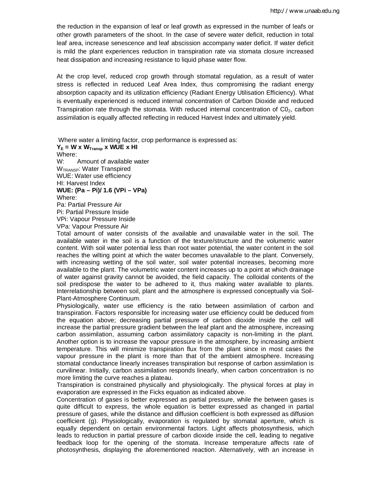the reduction in the expansion of leaf or leaf growth as expressed in the number of leafs or other growth parameters of the shoot. In the case of severe water deficit, reduction in total leaf area, increase senescence and leaf abscission accompany water deficit. If water deficit is mild the plant experiences reduction in transpiration rate via stomata closure increased heat dissipation and increasing resistance to liquid phase water flow.

At the crop level, reduced crop growth through stomatal regulation, as a result of water stress is reflected in reduced Leaf Area Index, thus compromising the radiant energy absorption capacity and its utilization efficiency (Radiant Energy Utilisation Efficiency). What is eventually experienced is reduced internal concentration of Carbon Dioxide and reduced Transpiration rate through the stomata. With reduced internal concentration of  $CO<sub>2</sub>$ , carbon assimilation is equally affected reflecting in reduced Harvest Index and ultimately yield.

Where water a limiting factor, crop performance is expressed as:  $Y_E$  = **W** x  $W_{Transp}$  x WUE x HI Where: W: Amount of available water W<sub>TRANSP</sub>: Water Transpired WUE: Water use efficiency HI: Harvest Index **WUE: (Pa – Pi)/ 1.6 (VPi – VPa)** Where: Pa: Partial Pressure Air Pi: Partial Pressure Inside VPi: Vapour Pressure Inside VPa: Vapour Pressure Air

Total amount of water consists of the available and unavailable water in the soil. The available water in the soil is a function of the texture/structure and the volumetric water content. With soil water potential less than root water potential, the water content in the soil reaches the wilting point at which the water becomes unavailable to the plant. Conversely, with increasing wetting of the soil water, soil water potential increases, becoming more available to the plant. The volumetric water content increases up to a point at which drainage of water against gravity cannot be avoided, the field capacity. The colloidal contents of the soil predispose the water to be adhered to it, thus making water available to plants. Interrelationship between soil, plant and the atmosphere is expressed conceptually via Soil-Plant-Atmosphere Continuum.

Physiologically, water use efficiency is the ratio between assimilation of carbon and transpiration. Factors responsible for increasing water use efficiency could be deduced from the equation above; decreasing partial pressure of carbon dioxide inside the cell will increase the partial pressure gradient between the leaf plant and the atmosphere, increasing carbon assimilation, assuming carbon assimilatory capacity is non-limiting in the plant. Another option is to increase the vapour pressure in the atmosphere, by increasing ambient temperature. This will minimize transpiration flux from the plant since in most cases the vapour pressure in the plant is more than that of the ambient atmosphere. Increasing stomatal conductance linearly increases transpiration but response of carbon assimilation is curvilinear. Initially, carbon assimilation responds linearly, when carbon concentration is no more limiting the curve reaches a plateau.

Transpiration is constrained physically and physiologically. The physical forces at play in evaporation are expressed in the Ficks equation as indicated above.

Concentration of gases is better expressed as partial pressure, while the between gases is quite difficult to express, the whole equation is better expressed as changed in partial pressure of gases, while the distance and diffusion coefficient is both expressed as diffusion coefficient (g). Physiologically, evaporation is regulated by stomatal aperture, which is equally dependent on certain environmental factors. Light affects photosynthesis, which leads to reduction in partial pressure of carbon dioxide inside the cell, leading to negative feedback loop for the opening of the stomata. Increase temperature affects rate of photosynthesis, displaying the aforementioned reaction. Alternatively, with an increase in